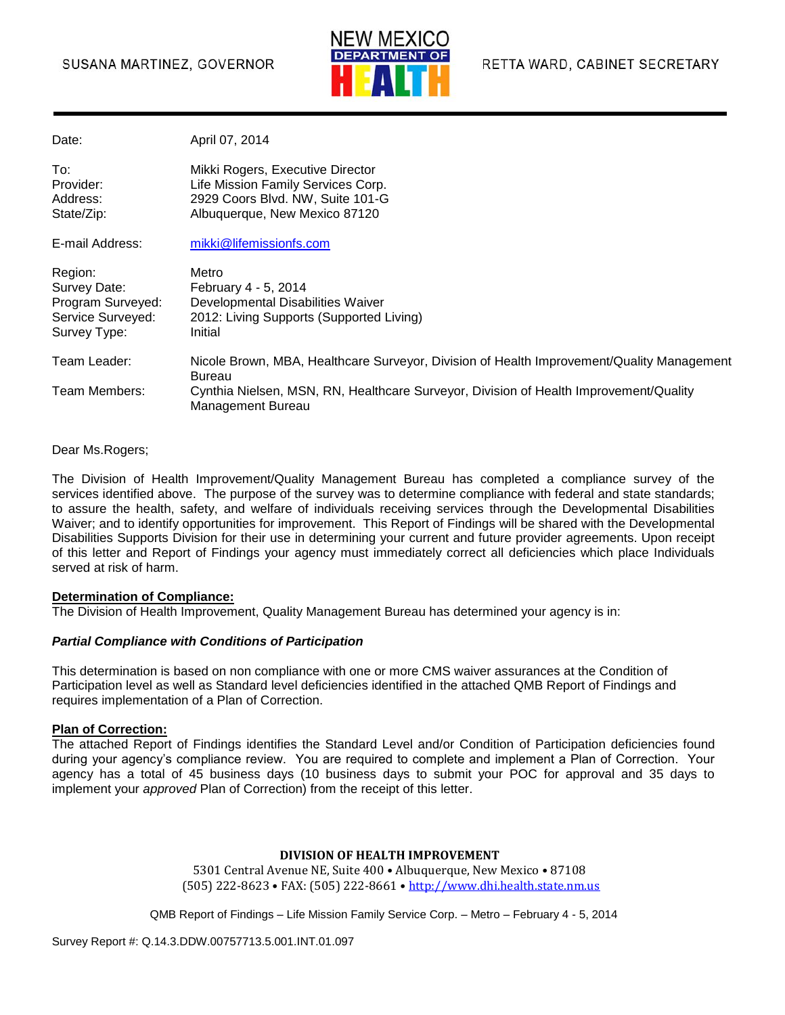

| Date:                                                                             | April 07, 2014                                                                                                                              |
|-----------------------------------------------------------------------------------|---------------------------------------------------------------------------------------------------------------------------------------------|
| To:<br>Provider:<br>Address:<br>State/Zip:                                        | Mikki Rogers, Executive Director<br>Life Mission Family Services Corp.<br>2929 Coors Blvd. NW, Suite 101-G<br>Albuquerque, New Mexico 87120 |
| E-mail Address:                                                                   | mikki@lifemissionfs.com                                                                                                                     |
| Region:<br>Survey Date:<br>Program Surveyed:<br>Service Surveyed:<br>Survey Type: | Metro<br>February 4 - 5, 2014<br>Developmental Disabilities Waiver<br>2012: Living Supports (Supported Living)<br>Initial                   |
| Team Leader:                                                                      | Nicole Brown, MBA, Healthcare Surveyor, Division of Health Improvement/Quality Management<br><b>Bureau</b>                                  |
| Team Members:                                                                     | Cynthia Nielsen, MSN, RN, Healthcare Surveyor, Division of Health Improvement/Quality<br>Management Bureau                                  |

#### Dear Ms.Rogers;

The Division of Health Improvement/Quality Management Bureau has completed a compliance survey of the services identified above. The purpose of the survey was to determine compliance with federal and state standards; to assure the health, safety, and welfare of individuals receiving services through the Developmental Disabilities Waiver; and to identify opportunities for improvement. This Report of Findings will be shared with the Developmental Disabilities Supports Division for their use in determining your current and future provider agreements. Upon receipt of this letter and Report of Findings your agency must immediately correct all deficiencies which place Individuals served at risk of harm.

#### **Determination of Compliance:**

The Division of Health Improvement, Quality Management Bureau has determined your agency is in:

#### *Partial Compliance with Conditions of Participation*

This determination is based on non compliance with one or more CMS waiver assurances at the Condition of Participation level as well as Standard level deficiencies identified in the attached QMB Report of Findings and requires implementation of a Plan of Correction.

#### **Plan of Correction:**

The attached Report of Findings identifies the Standard Level and/or Condition of Participation deficiencies found during your agency's compliance review. You are required to complete and implement a Plan of Correction. Your agency has a total of 45 business days (10 business days to submit your POC for approval and 35 days to implement your *approved* Plan of Correction) from the receipt of this letter.

#### **DIVISION OF HEALTH IMPROVEMENT**

5301 Central Avenue NE, Suite 400 • Albuquerque, New Mexico • 87108 (505) 222-8623 • FAX: (505) 222-8661 • http://www.dhi.health.state.nm.us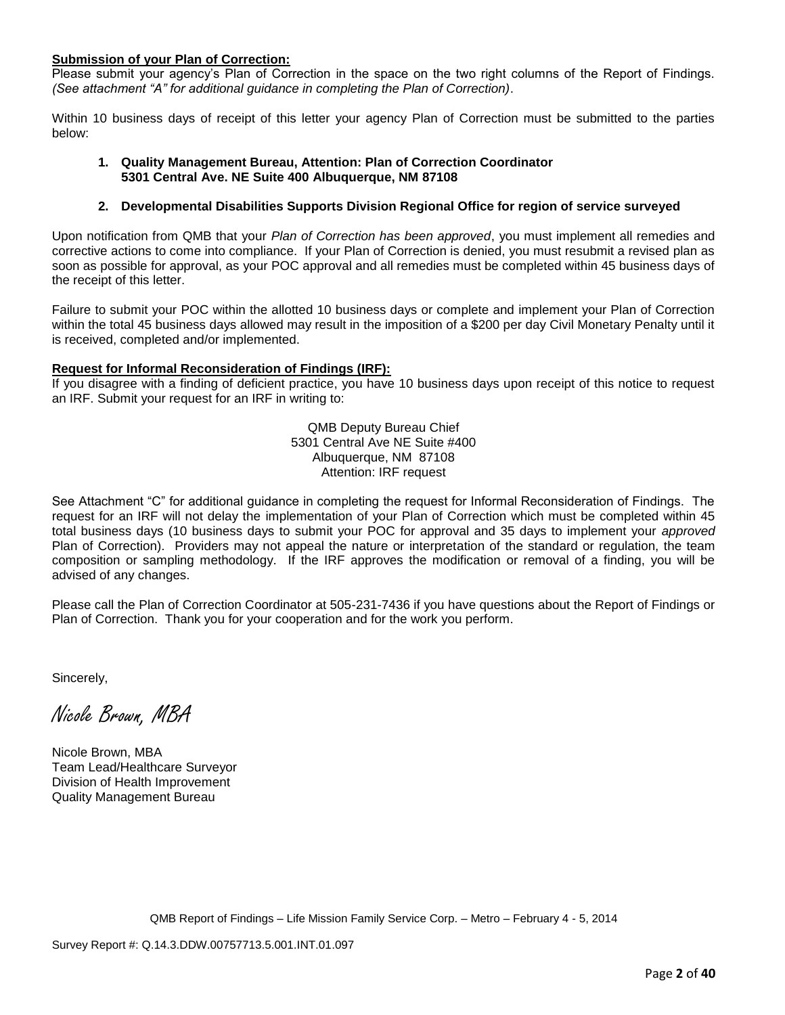#### **Submission of your Plan of Correction:**

Please submit your agency's Plan of Correction in the space on the two right columns of the Report of Findings. *(See attachment "A" for additional guidance in completing the Plan of Correction)*.

Within 10 business days of receipt of this letter your agency Plan of Correction must be submitted to the parties below:

#### **1. Quality Management Bureau, Attention: Plan of Correction Coordinator 5301 Central Ave. NE Suite 400 Albuquerque, NM 87108**

#### **2. Developmental Disabilities Supports Division Regional Office for region of service surveyed**

Upon notification from QMB that your *Plan of Correction has been approved*, you must implement all remedies and corrective actions to come into compliance. If your Plan of Correction is denied, you must resubmit a revised plan as soon as possible for approval, as your POC approval and all remedies must be completed within 45 business days of the receipt of this letter.

Failure to submit your POC within the allotted 10 business days or complete and implement your Plan of Correction within the total 45 business days allowed may result in the imposition of a \$200 per day Civil Monetary Penalty until it is received, completed and/or implemented.

#### **Request for Informal Reconsideration of Findings (IRF):**

If you disagree with a finding of deficient practice, you have 10 business days upon receipt of this notice to request an IRF. Submit your request for an IRF in writing to:

> QMB Deputy Bureau Chief 5301 Central Ave NE Suite #400 Albuquerque, NM 87108 Attention: IRF request

See Attachment "C" for additional guidance in completing the request for Informal Reconsideration of Findings. The request for an IRF will not delay the implementation of your Plan of Correction which must be completed within 45 total business days (10 business days to submit your POC for approval and 35 days to implement your *approved* Plan of Correction). Providers may not appeal the nature or interpretation of the standard or regulation, the team composition or sampling methodology. If the IRF approves the modification or removal of a finding, you will be advised of any changes.

Please call the Plan of Correction Coordinator at 505-231-7436 if you have questions about the Report of Findings or Plan of Correction. Thank you for your cooperation and for the work you perform.

Sincerely,

Nicole Brown, MBA

Nicole Brown, MBA Team Lead/Healthcare Surveyor Division of Health Improvement Quality Management Bureau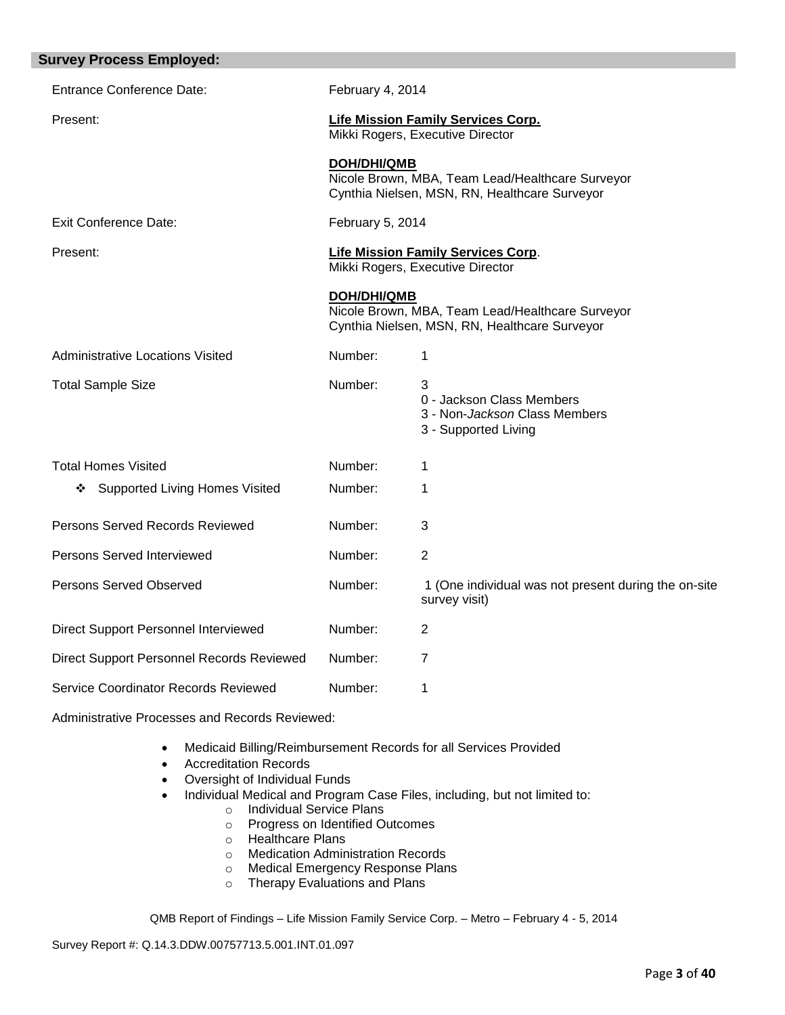| <b>Survey Process Employed:</b>                |                    |                                                                                                   |
|------------------------------------------------|--------------------|---------------------------------------------------------------------------------------------------|
| <b>Entrance Conference Date:</b>               | February 4, 2014   |                                                                                                   |
| Present:                                       |                    | <b>Life Mission Family Services Corp.</b><br>Mikki Rogers, Executive Director                     |
|                                                | <b>DOH/DHI/QMB</b> | Nicole Brown, MBA, Team Lead/Healthcare Surveyor<br>Cynthia Nielsen, MSN, RN, Healthcare Surveyor |
| <b>Exit Conference Date:</b>                   | February 5, 2014   |                                                                                                   |
| Present:                                       |                    | <b>Life Mission Family Services Corp.</b><br>Mikki Rogers, Executive Director                     |
|                                                | <b>DOH/DHI/QMB</b> | Nicole Brown, MBA, Team Lead/Healthcare Surveyor<br>Cynthia Nielsen, MSN, RN, Healthcare Surveyor |
| <b>Administrative Locations Visited</b>        | Number:            | 1                                                                                                 |
| <b>Total Sample Size</b>                       | Number:            | 3<br>0 - Jackson Class Members<br>3 - Non-Jackson Class Members<br>3 - Supported Living           |
| <b>Total Homes Visited</b>                     | Number:            | 1                                                                                                 |
| <b>Supported Living Homes Visited</b><br>❖     | Number:            | 1                                                                                                 |
| Persons Served Records Reviewed                | Number:            | 3                                                                                                 |
| Persons Served Interviewed                     | Number:            | $\overline{2}$                                                                                    |
| Persons Served Observed                        | Number:            | 1 (One individual was not present during the on-site<br>survey visit)                             |
| Direct Support Personnel Interviewed           | Number:            | $\overline{2}$                                                                                    |
| Direct Support Personnel Records Reviewed      | Number:            | 7                                                                                                 |
| Service Coordinator Records Reviewed           | Number:            | 1                                                                                                 |
| Administrative Processes and Records Reviewed: |                    |                                                                                                   |

- Medicaid Billing/Reimbursement Records for all Services Provided
- Accreditation Records
- Oversight of Individual Funds
- Individual Medical and Program Case Files, including, but not limited to:
	- o Individual Service Plans
	- o Progress on Identified Outcomes
	- o Healthcare Plans
	- o Medication Administration Records
	- o Medical Emergency Response Plans
	- o Therapy Evaluations and Plans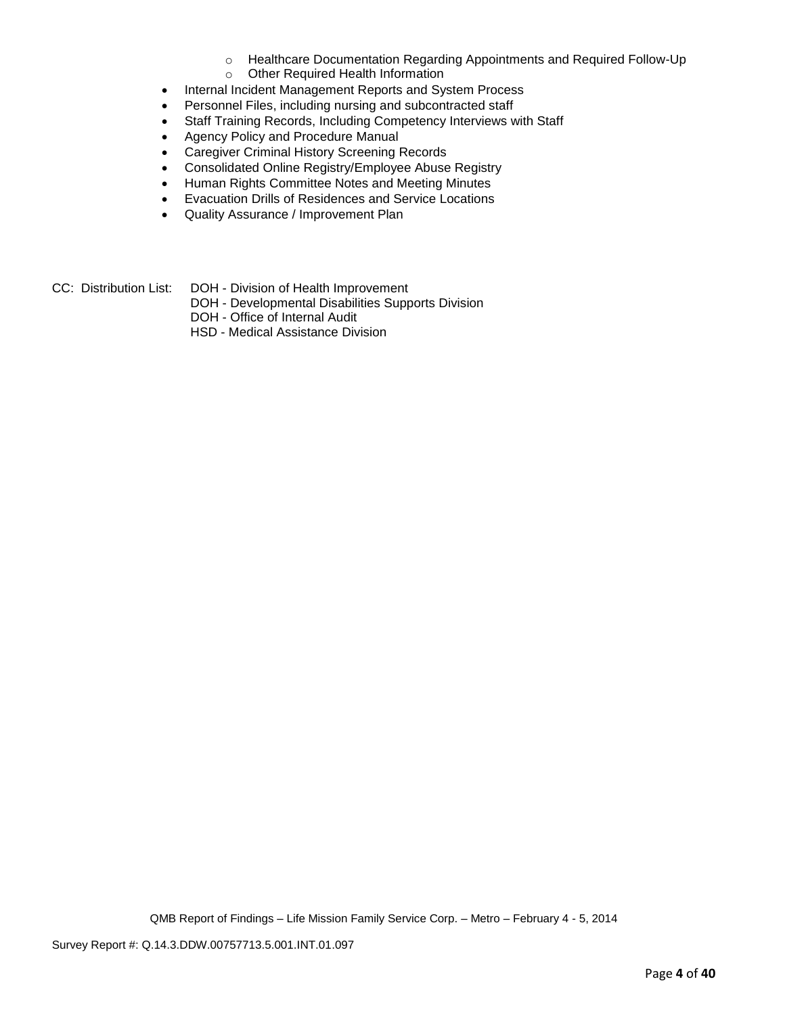- o Healthcare Documentation Regarding Appointments and Required Follow-Up
- o Other Required Health Information
- Internal Incident Management Reports and System Process
- Personnel Files, including nursing and subcontracted staff
- Staff Training Records, Including Competency Interviews with Staff
- Agency Policy and Procedure Manual
- Caregiver Criminal History Screening Records
- Consolidated Online Registry/Employee Abuse Registry
- Human Rights Committee Notes and Meeting Minutes
- Evacuation Drills of Residences and Service Locations
- Quality Assurance / Improvement Plan
- CC: Distribution List: DOH Division of Health Improvement
	- DOH Developmental Disabilities Supports Division
	- DOH Office of Internal Audit
	- HSD Medical Assistance Division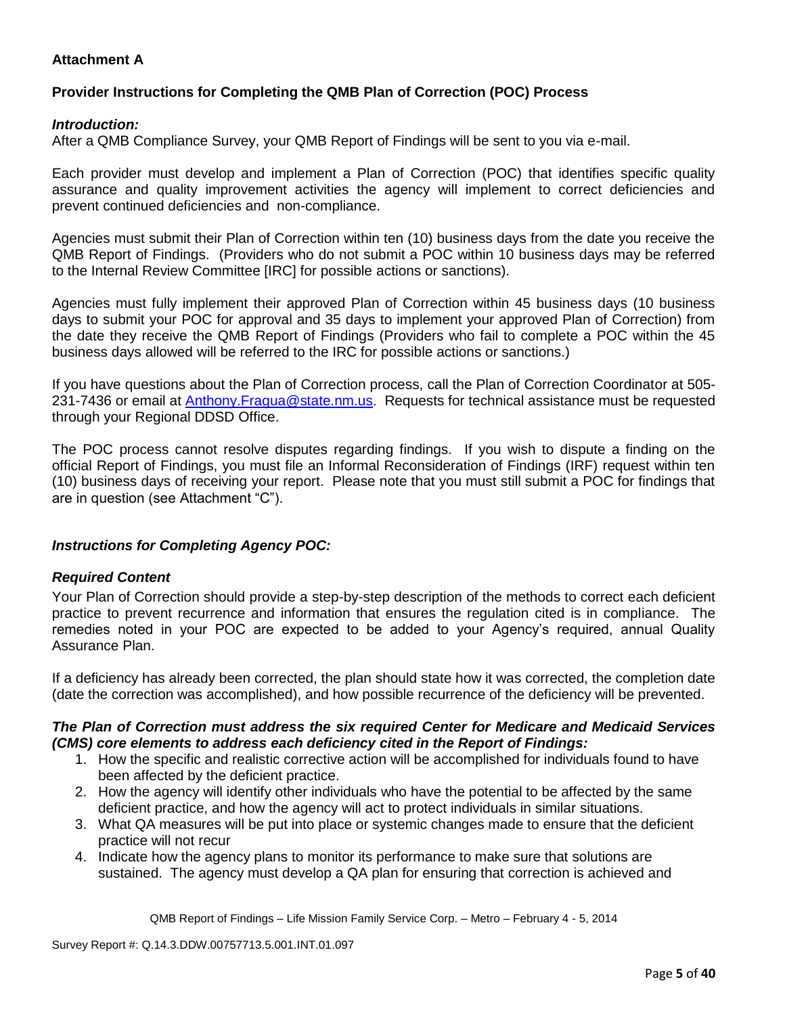## **Attachment A**

## **Provider Instructions for Completing the QMB Plan of Correction (POC) Process**

### *Introduction:*

After a QMB Compliance Survey, your QMB Report of Findings will be sent to you via e-mail.

Each provider must develop and implement a Plan of Correction (POC) that identifies specific quality assurance and quality improvement activities the agency will implement to correct deficiencies and prevent continued deficiencies and non-compliance.

Agencies must submit their Plan of Correction within ten (10) business days from the date you receive the QMB Report of Findings. (Providers who do not submit a POC within 10 business days may be referred to the Internal Review Committee [IRC] for possible actions or sanctions).

Agencies must fully implement their approved Plan of Correction within 45 business days (10 business days to submit your POC for approval and 35 days to implement your approved Plan of Correction) from the date they receive the QMB Report of Findings (Providers who fail to complete a POC within the 45 business days allowed will be referred to the IRC for possible actions or sanctions.)

If you have questions about the Plan of Correction process, call the Plan of Correction Coordinator at 505- 231-7436 or email at **Anthony.Fragua@state.nm.us.** Requests for technical assistance must be requested through your Regional DDSD Office.

The POC process cannot resolve disputes regarding findings. If you wish to dispute a finding on the official Report of Findings, you must file an Informal Reconsideration of Findings (IRF) request within ten (10) business days of receiving your report. Please note that you must still submit a POC for findings that are in question (see Attachment "C").

## *Instructions for Completing Agency POC:*

### *Required Content*

Your Plan of Correction should provide a step-by-step description of the methods to correct each deficient practice to prevent recurrence and information that ensures the regulation cited is in compliance. The remedies noted in your POC are expected to be added to your Agency's required, annual Quality Assurance Plan.

If a deficiency has already been corrected, the plan should state how it was corrected, the completion date (date the correction was accomplished), and how possible recurrence of the deficiency will be prevented.

### *The Plan of Correction must address the six required Center for Medicare and Medicaid Services (CMS) core elements to address each deficiency cited in the Report of Findings:*

- 1. How the specific and realistic corrective action will be accomplished for individuals found to have been affected by the deficient practice.
- 2. How the agency will identify other individuals who have the potential to be affected by the same deficient practice, and how the agency will act to protect individuals in similar situations.
- 3. What QA measures will be put into place or systemic changes made to ensure that the deficient practice will not recur
- 4. Indicate how the agency plans to monitor its performance to make sure that solutions are sustained. The agency must develop a QA plan for ensuring that correction is achieved and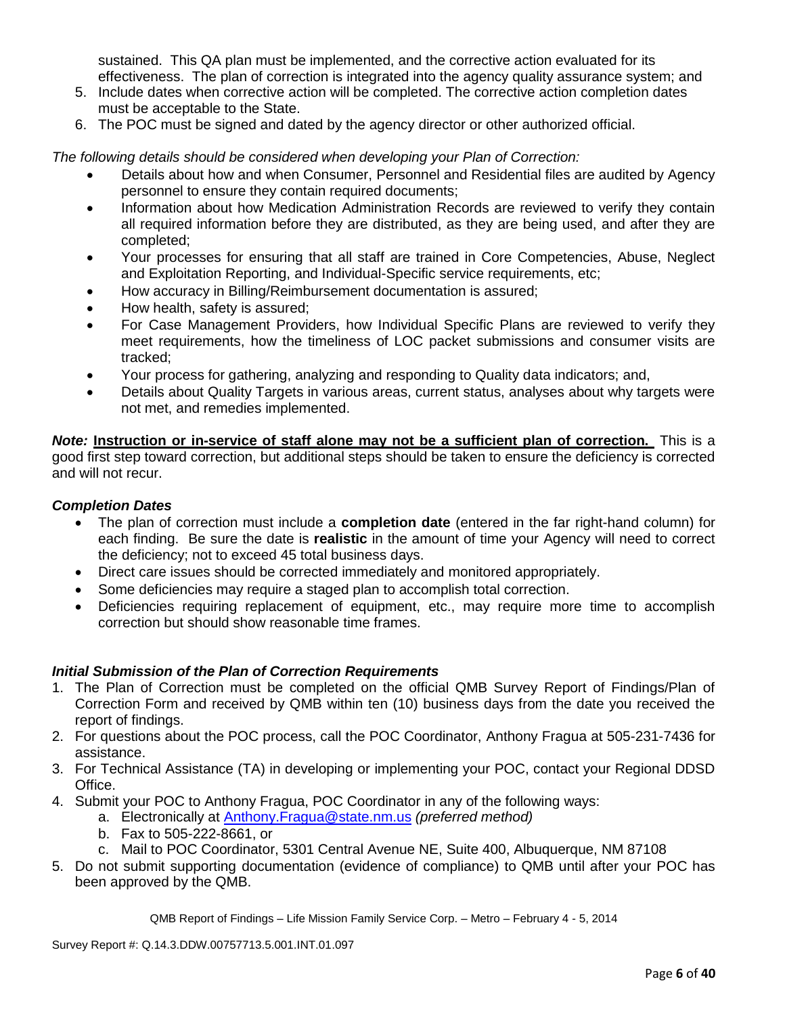sustained. This QA plan must be implemented, and the corrective action evaluated for its effectiveness. The plan of correction is integrated into the agency quality assurance system; and

- 5. Include dates when corrective action will be completed. The corrective action completion dates must be acceptable to the State.
- 6. The POC must be signed and dated by the agency director or other authorized official.

*The following details should be considered when developing your Plan of Correction:*

- Details about how and when Consumer, Personnel and Residential files are audited by Agency personnel to ensure they contain required documents;
- Information about how Medication Administration Records are reviewed to verify they contain all required information before they are distributed, as they are being used, and after they are completed;
- Your processes for ensuring that all staff are trained in Core Competencies, Abuse, Neglect and Exploitation Reporting, and Individual-Specific service requirements, etc;
- How accuracy in Billing/Reimbursement documentation is assured;
- How health, safety is assured;
- For Case Management Providers, how Individual Specific Plans are reviewed to verify they meet requirements, how the timeliness of LOC packet submissions and consumer visits are tracked;
- Your process for gathering, analyzing and responding to Quality data indicators; and,
- Details about Quality Targets in various areas, current status, analyses about why targets were not met, and remedies implemented.

*Note:* **Instruction or in-service of staff alone may not be a sufficient plan of correction.** This is a good first step toward correction, but additional steps should be taken to ensure the deficiency is corrected and will not recur.

## *Completion Dates*

- The plan of correction must include a **completion date** (entered in the far right-hand column) for each finding. Be sure the date is **realistic** in the amount of time your Agency will need to correct the deficiency; not to exceed 45 total business days.
- Direct care issues should be corrected immediately and monitored appropriately.
- Some deficiencies may require a staged plan to accomplish total correction.
- Deficiencies requiring replacement of equipment, etc., may require more time to accomplish correction but should show reasonable time frames.

## *Initial Submission of the Plan of Correction Requirements*

- 1. The Plan of Correction must be completed on the official QMB Survey Report of Findings/Plan of Correction Form and received by QMB within ten (10) business days from the date you received the report of findings.
- 2. For questions about the POC process, call the POC Coordinator, Anthony Fragua at 505-231-7436 for assistance.
- 3. For Technical Assistance (TA) in developing or implementing your POC, contact your Regional DDSD Office.
- 4. Submit your POC to Anthony Fragua, POC Coordinator in any of the following ways:
	- a. Electronically at Anthony.Fragua@state.nm.us *(preferred method)*
		- b. Fax to 505-222-8661, or
		- c. Mail to POC Coordinator, 5301 Central Avenue NE, Suite 400, Albuquerque, NM 87108
- 5. Do not submit supporting documentation (evidence of compliance) to QMB until after your POC has been approved by the QMB.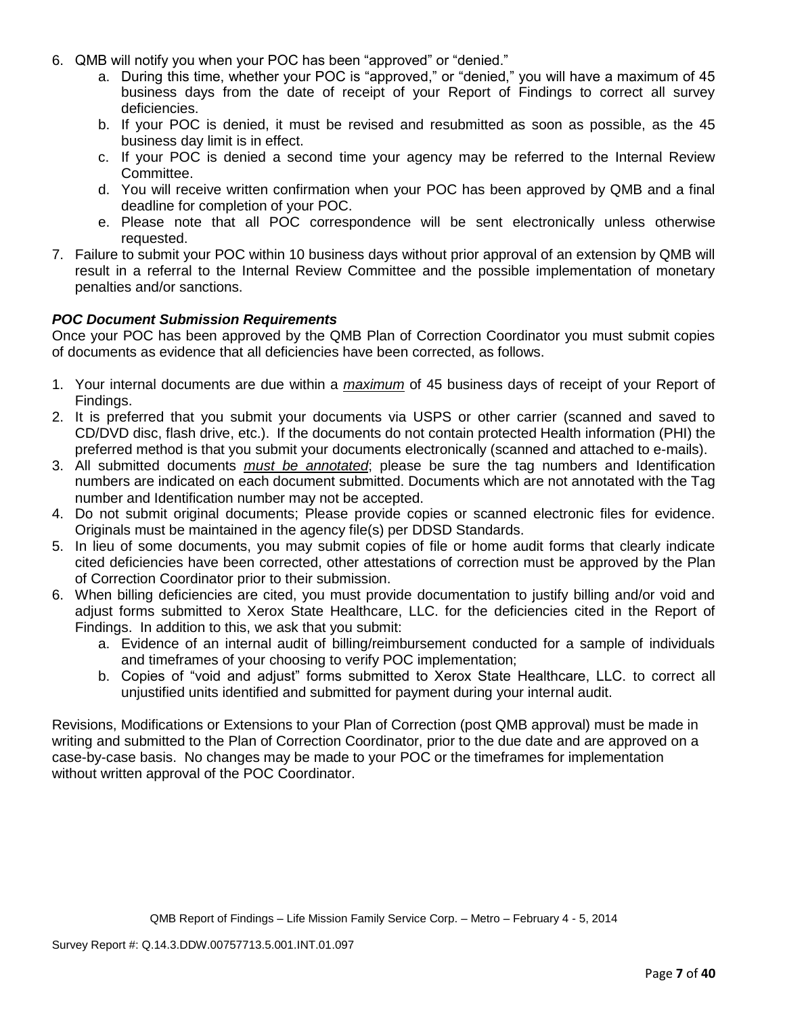- 6. QMB will notify you when your POC has been "approved" or "denied."
	- a. During this time, whether your POC is "approved," or "denied," you will have a maximum of 45 business days from the date of receipt of your Report of Findings to correct all survey deficiencies.
	- b. If your POC is denied, it must be revised and resubmitted as soon as possible, as the 45 business day limit is in effect.
	- c. If your POC is denied a second time your agency may be referred to the Internal Review Committee.
	- d. You will receive written confirmation when your POC has been approved by QMB and a final deadline for completion of your POC.
	- e. Please note that all POC correspondence will be sent electronically unless otherwise requested.
- 7. Failure to submit your POC within 10 business days without prior approval of an extension by QMB will result in a referral to the Internal Review Committee and the possible implementation of monetary penalties and/or sanctions.

## *POC Document Submission Requirements*

Once your POC has been approved by the QMB Plan of Correction Coordinator you must submit copies of documents as evidence that all deficiencies have been corrected, as follows.

- 1. Your internal documents are due within a *maximum* of 45 business days of receipt of your Report of Findings.
- 2. It is preferred that you submit your documents via USPS or other carrier (scanned and saved to CD/DVD disc, flash drive, etc.). If the documents do not contain protected Health information (PHI) the preferred method is that you submit your documents electronically (scanned and attached to e-mails).
- 3. All submitted documents *must be annotated*; please be sure the tag numbers and Identification numbers are indicated on each document submitted. Documents which are not annotated with the Tag number and Identification number may not be accepted.
- 4. Do not submit original documents; Please provide copies or scanned electronic files for evidence. Originals must be maintained in the agency file(s) per DDSD Standards.
- 5. In lieu of some documents, you may submit copies of file or home audit forms that clearly indicate cited deficiencies have been corrected, other attestations of correction must be approved by the Plan of Correction Coordinator prior to their submission.
- 6. When billing deficiencies are cited, you must provide documentation to justify billing and/or void and adjust forms submitted to Xerox State Healthcare, LLC. for the deficiencies cited in the Report of Findings. In addition to this, we ask that you submit:
	- a. Evidence of an internal audit of billing/reimbursement conducted for a sample of individuals and timeframes of your choosing to verify POC implementation;
	- b. Copies of "void and adjust" forms submitted to Xerox State Healthcare, LLC. to correct all unjustified units identified and submitted for payment during your internal audit.

Revisions, Modifications or Extensions to your Plan of Correction (post QMB approval) must be made in writing and submitted to the Plan of Correction Coordinator, prior to the due date and are approved on a case-by-case basis. No changes may be made to your POC or the timeframes for implementation without written approval of the POC Coordinator.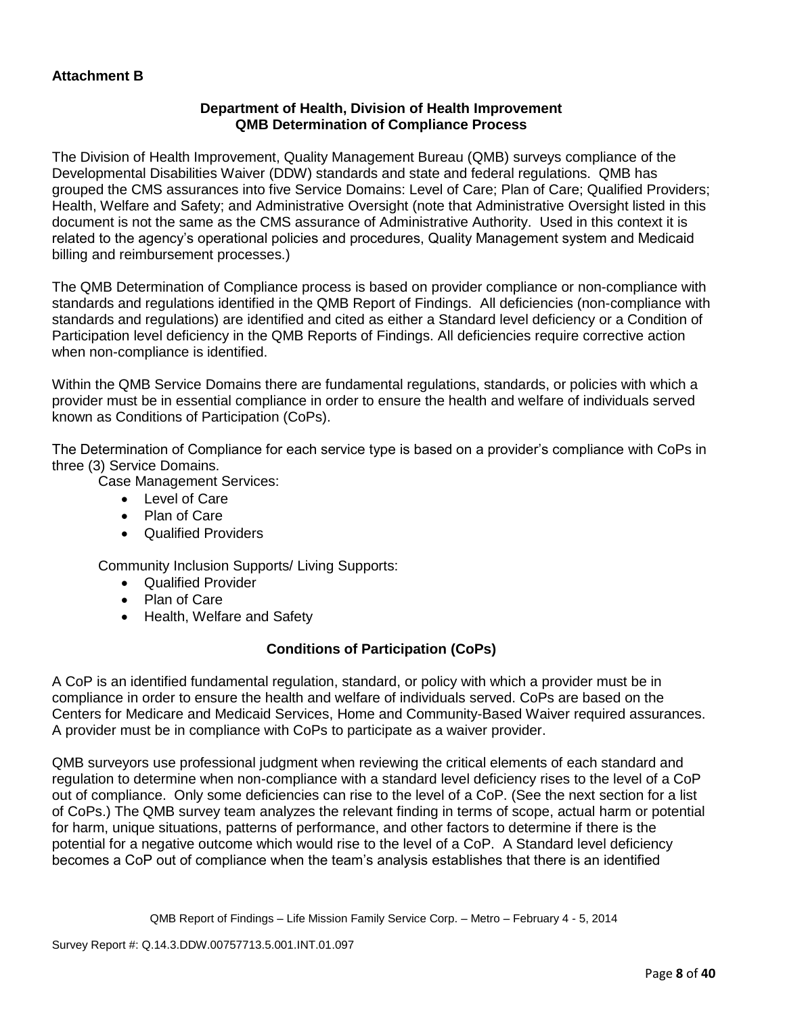## **Department of Health, Division of Health Improvement QMB Determination of Compliance Process**

The Division of Health Improvement, Quality Management Bureau (QMB) surveys compliance of the Developmental Disabilities Waiver (DDW) standards and state and federal regulations. QMB has grouped the CMS assurances into five Service Domains: Level of Care; Plan of Care; Qualified Providers; Health, Welfare and Safety; and Administrative Oversight (note that Administrative Oversight listed in this document is not the same as the CMS assurance of Administrative Authority. Used in this context it is related to the agency's operational policies and procedures, Quality Management system and Medicaid billing and reimbursement processes.)

The QMB Determination of Compliance process is based on provider compliance or non-compliance with standards and regulations identified in the QMB Report of Findings. All deficiencies (non-compliance with standards and regulations) are identified and cited as either a Standard level deficiency or a Condition of Participation level deficiency in the QMB Reports of Findings. All deficiencies require corrective action when non-compliance is identified.

Within the QMB Service Domains there are fundamental regulations, standards, or policies with which a provider must be in essential compliance in order to ensure the health and welfare of individuals served known as Conditions of Participation (CoPs).

The Determination of Compliance for each service type is based on a provider's compliance with CoPs in three (3) Service Domains.

Case Management Services:

- Level of Care
- Plan of Care
- Qualified Providers

Community Inclusion Supports/ Living Supports:

- Qualified Provider
- Plan of Care
- Health, Welfare and Safety

## **Conditions of Participation (CoPs)**

A CoP is an identified fundamental regulation, standard, or policy with which a provider must be in compliance in order to ensure the health and welfare of individuals served. CoPs are based on the Centers for Medicare and Medicaid Services, Home and Community-Based Waiver required assurances. A provider must be in compliance with CoPs to participate as a waiver provider.

QMB surveyors use professional judgment when reviewing the critical elements of each standard and regulation to determine when non-compliance with a standard level deficiency rises to the level of a CoP out of compliance. Only some deficiencies can rise to the level of a CoP. (See the next section for a list of CoPs.) The QMB survey team analyzes the relevant finding in terms of scope, actual harm or potential for harm, unique situations, patterns of performance, and other factors to determine if there is the potential for a negative outcome which would rise to the level of a CoP. A Standard level deficiency becomes a CoP out of compliance when the team's analysis establishes that there is an identified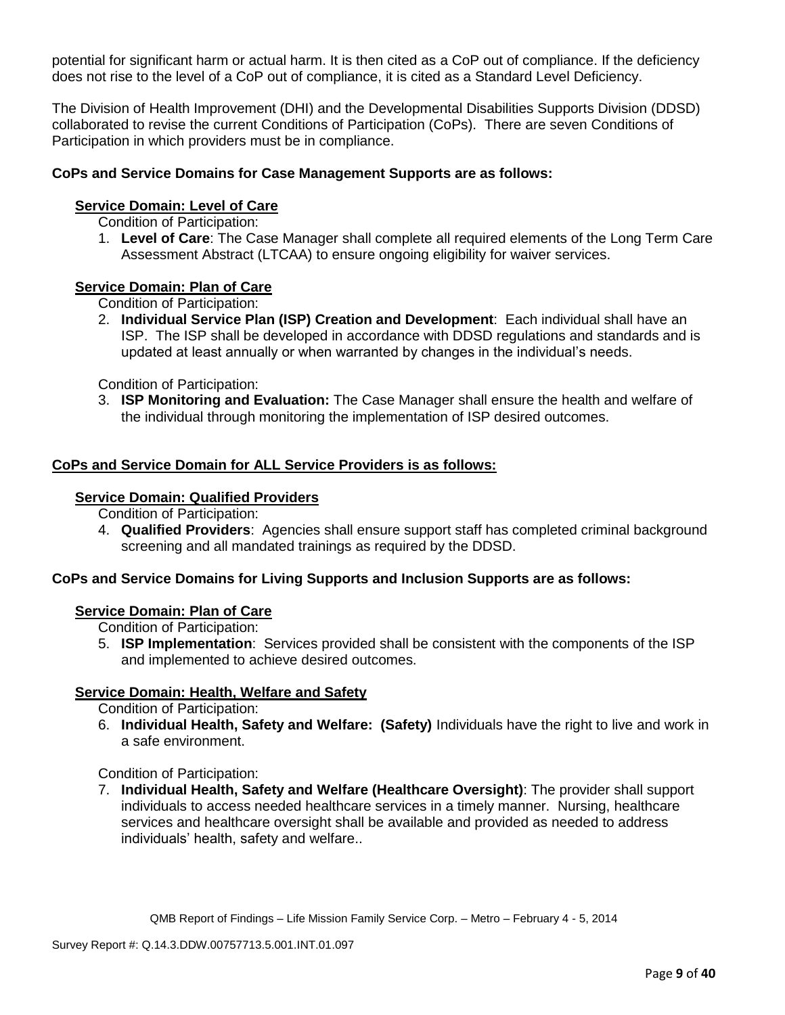potential for significant harm or actual harm. It is then cited as a CoP out of compliance. If the deficiency does not rise to the level of a CoP out of compliance, it is cited as a Standard Level Deficiency.

The Division of Health Improvement (DHI) and the Developmental Disabilities Supports Division (DDSD) collaborated to revise the current Conditions of Participation (CoPs). There are seven Conditions of Participation in which providers must be in compliance.

### **CoPs and Service Domains for Case Management Supports are as follows:**

### **Service Domain: Level of Care**

Condition of Participation:

1. **Level of Care**: The Case Manager shall complete all required elements of the Long Term Care Assessment Abstract (LTCAA) to ensure ongoing eligibility for waiver services.

### **Service Domain: Plan of Care**

Condition of Participation:

2. **Individual Service Plan (ISP) Creation and Development**: Each individual shall have an ISP. The ISP shall be developed in accordance with DDSD regulations and standards and is updated at least annually or when warranted by changes in the individual's needs.

Condition of Participation:

3. **ISP Monitoring and Evaluation:** The Case Manager shall ensure the health and welfare of the individual through monitoring the implementation of ISP desired outcomes.

### **CoPs and Service Domain for ALL Service Providers is as follows:**

#### **Service Domain: Qualified Providers**

Condition of Participation:

4. **Qualified Providers**: Agencies shall ensure support staff has completed criminal background screening and all mandated trainings as required by the DDSD.

## **CoPs and Service Domains for Living Supports and Inclusion Supports are as follows:**

### **Service Domain: Plan of Care**

Condition of Participation:

5. **ISP Implementation**: Services provided shall be consistent with the components of the ISP and implemented to achieve desired outcomes.

### **Service Domain: Health, Welfare and Safety**

Condition of Participation:

6. **Individual Health, Safety and Welfare: (Safety)** Individuals have the right to live and work in a safe environment.

### Condition of Participation:

7. **Individual Health, Safety and Welfare (Healthcare Oversight)**: The provider shall support individuals to access needed healthcare services in a timely manner. Nursing, healthcare services and healthcare oversight shall be available and provided as needed to address individuals' health, safety and welfare..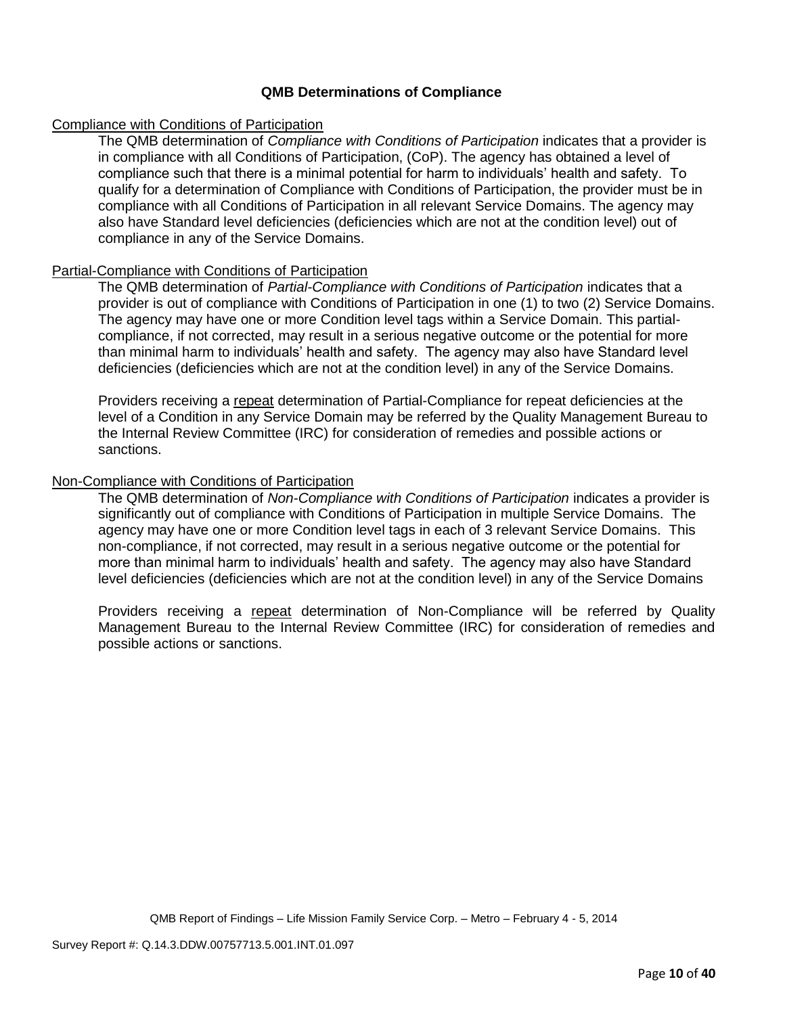### **QMB Determinations of Compliance**

### Compliance with Conditions of Participation

The QMB determination of *Compliance with Conditions of Participation* indicates that a provider is in compliance with all Conditions of Participation, (CoP). The agency has obtained a level of compliance such that there is a minimal potential for harm to individuals' health and safety. To qualify for a determination of Compliance with Conditions of Participation, the provider must be in compliance with all Conditions of Participation in all relevant Service Domains. The agency may also have Standard level deficiencies (deficiencies which are not at the condition level) out of compliance in any of the Service Domains.

## Partial-Compliance with Conditions of Participation

The QMB determination of *Partial-Compliance with Conditions of Participation* indicates that a provider is out of compliance with Conditions of Participation in one (1) to two (2) Service Domains. The agency may have one or more Condition level tags within a Service Domain. This partialcompliance, if not corrected, may result in a serious negative outcome or the potential for more than minimal harm to individuals' health and safety. The agency may also have Standard level deficiencies (deficiencies which are not at the condition level) in any of the Service Domains.

Providers receiving a repeat determination of Partial-Compliance for repeat deficiencies at the level of a Condition in any Service Domain may be referred by the Quality Management Bureau to the Internal Review Committee (IRC) for consideration of remedies and possible actions or sanctions.

### Non-Compliance with Conditions of Participation

The QMB determination of *Non-Compliance with Conditions of Participation* indicates a provider is significantly out of compliance with Conditions of Participation in multiple Service Domains. The agency may have one or more Condition level tags in each of 3 relevant Service Domains. This non-compliance, if not corrected, may result in a serious negative outcome or the potential for more than minimal harm to individuals' health and safety. The agency may also have Standard level deficiencies (deficiencies which are not at the condition level) in any of the Service Domains

Providers receiving a repeat determination of Non-Compliance will be referred by Quality Management Bureau to the Internal Review Committee (IRC) for consideration of remedies and possible actions or sanctions.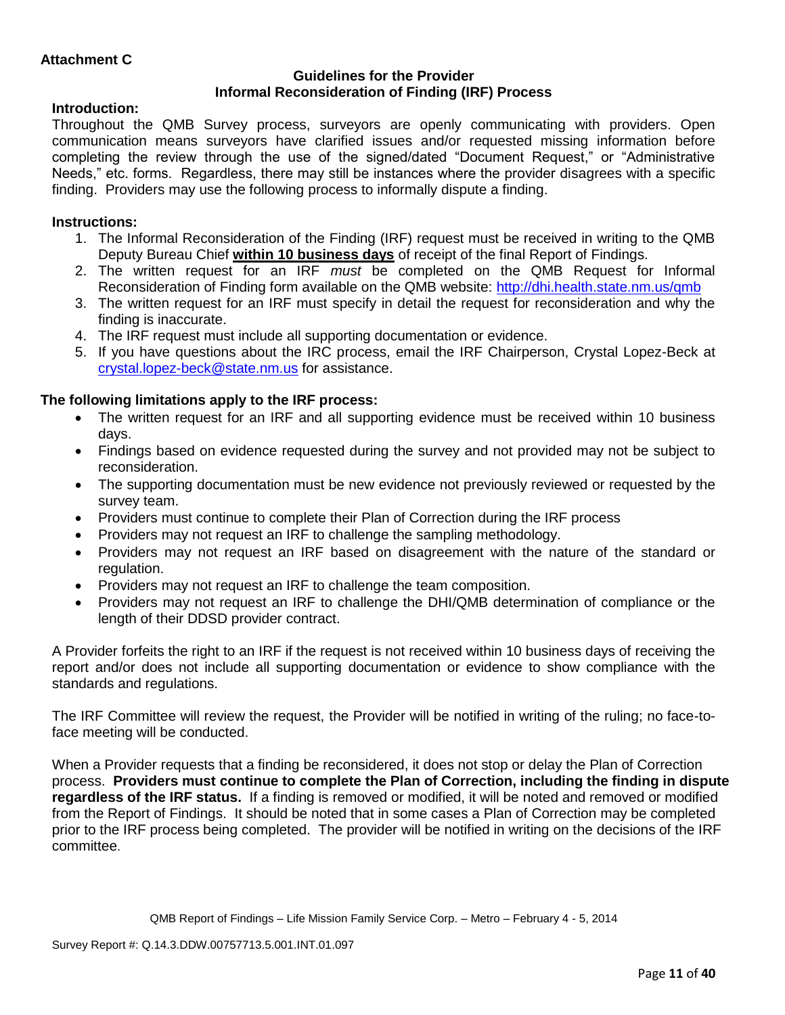### **Guidelines for the Provider Informal Reconsideration of Finding (IRF) Process**

## **Introduction:**

Throughout the QMB Survey process, surveyors are openly communicating with providers. Open communication means surveyors have clarified issues and/or requested missing information before completing the review through the use of the signed/dated "Document Request," or "Administrative Needs," etc. forms. Regardless, there may still be instances where the provider disagrees with a specific finding. Providers may use the following process to informally dispute a finding.

## **Instructions:**

- 1. The Informal Reconsideration of the Finding (IRF) request must be received in writing to the QMB Deputy Bureau Chief **within 10 business days** of receipt of the final Report of Findings.
- 2. The written request for an IRF *must* be completed on the QMB Request for Informal Reconsideration of Finding form available on the QMB website:<http://dhi.health.state.nm.us/qmb>
- 3. The written request for an IRF must specify in detail the request for reconsideration and why the finding is inaccurate.
- 4. The IRF request must include all supporting documentation or evidence.
- 5. If you have questions about the IRC process, email the IRF Chairperson, Crystal Lopez-Beck at [crystal.lopez-beck@state.nm.us](mailto:crystal.lopez-beck@state.nm.us) for assistance.

## **The following limitations apply to the IRF process:**

- The written request for an IRF and all supporting evidence must be received within 10 business days.
- Findings based on evidence requested during the survey and not provided may not be subject to reconsideration.
- The supporting documentation must be new evidence not previously reviewed or requested by the survey team.
- Providers must continue to complete their Plan of Correction during the IRF process
- Providers may not request an IRF to challenge the sampling methodology.
- Providers may not request an IRF based on disagreement with the nature of the standard or regulation.
- Providers may not request an IRF to challenge the team composition.
- Providers may not request an IRF to challenge the DHI/QMB determination of compliance or the length of their DDSD provider contract.

A Provider forfeits the right to an IRF if the request is not received within 10 business days of receiving the report and/or does not include all supporting documentation or evidence to show compliance with the standards and regulations.

The IRF Committee will review the request, the Provider will be notified in writing of the ruling; no face-toface meeting will be conducted.

When a Provider requests that a finding be reconsidered, it does not stop or delay the Plan of Correction process. **Providers must continue to complete the Plan of Correction, including the finding in dispute regardless of the IRF status.** If a finding is removed or modified, it will be noted and removed or modified from the Report of Findings. It should be noted that in some cases a Plan of Correction may be completed prior to the IRF process being completed. The provider will be notified in writing on the decisions of the IRF committee.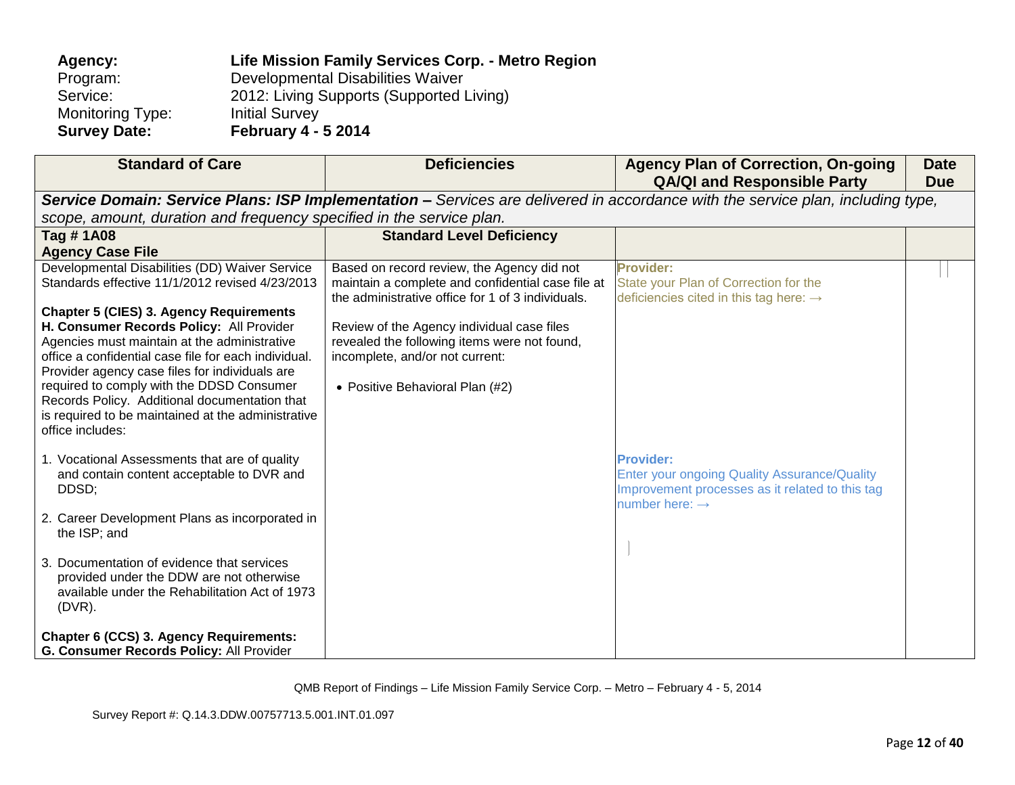| Agency:                 | Life Mission Family Services Corp. - Metro Region |
|-------------------------|---------------------------------------------------|
| Program:                | Developmental Disabilities Waiver                 |
| Service:                | 2012: Living Supports (Supported Living)          |
| <b>Monitoring Type:</b> | <b>Initial Survey</b>                             |
| <b>Survey Date:</b>     | <b>February 4 - 5 2014</b>                        |

| <b>Standard of Care</b>                                                                    | <b>Deficiencies</b>                                                                                                             | <b>Agency Plan of Correction, On-going</b><br><b>QA/QI and Responsible Party</b> | <b>Date</b><br><b>Due</b> |  |  |
|--------------------------------------------------------------------------------------------|---------------------------------------------------------------------------------------------------------------------------------|----------------------------------------------------------------------------------|---------------------------|--|--|
|                                                                                            | Service Domain: Service Plans: ISP Implementation - Services are delivered in accordance with the service plan, including type, |                                                                                  |                           |  |  |
| scope, amount, duration and frequency specified in the service plan.                       |                                                                                                                                 |                                                                                  |                           |  |  |
| Tag #1A08                                                                                  | <b>Standard Level Deficiency</b>                                                                                                |                                                                                  |                           |  |  |
| <b>Agency Case File</b>                                                                    |                                                                                                                                 |                                                                                  |                           |  |  |
| Developmental Disabilities (DD) Waiver Service                                             | Based on record review, the Agency did not                                                                                      | <b>Provider:</b>                                                                 |                           |  |  |
| Standards effective 11/1/2012 revised 4/23/2013                                            | maintain a complete and confidential case file at                                                                               | State your Plan of Correction for the                                            |                           |  |  |
|                                                                                            | the administrative office for 1 of 3 individuals.                                                                               | deficiencies cited in this tag here: $\rightarrow$                               |                           |  |  |
| <b>Chapter 5 (CIES) 3. Agency Requirements</b><br>H. Consumer Records Policy: All Provider | Review of the Agency individual case files                                                                                      |                                                                                  |                           |  |  |
| Agencies must maintain at the administrative                                               | revealed the following items were not found,                                                                                    |                                                                                  |                           |  |  |
| office a confidential case file for each individual.                                       | incomplete, and/or not current:                                                                                                 |                                                                                  |                           |  |  |
| Provider agency case files for individuals are                                             |                                                                                                                                 |                                                                                  |                           |  |  |
| required to comply with the DDSD Consumer                                                  | • Positive Behavioral Plan (#2)                                                                                                 |                                                                                  |                           |  |  |
| Records Policy. Additional documentation that                                              |                                                                                                                                 |                                                                                  |                           |  |  |
| is required to be maintained at the administrative                                         |                                                                                                                                 |                                                                                  |                           |  |  |
| office includes:                                                                           |                                                                                                                                 |                                                                                  |                           |  |  |
| 1. Vocational Assessments that are of quality                                              |                                                                                                                                 | <b>Provider:</b>                                                                 |                           |  |  |
| and contain content acceptable to DVR and                                                  |                                                                                                                                 | <b>Enter your ongoing Quality Assurance/Quality</b>                              |                           |  |  |
| DDSD;                                                                                      |                                                                                                                                 | Improvement processes as it related to this tag                                  |                           |  |  |
|                                                                                            |                                                                                                                                 | number here: $\rightarrow$                                                       |                           |  |  |
| 2. Career Development Plans as incorporated in                                             |                                                                                                                                 |                                                                                  |                           |  |  |
| the ISP; and                                                                               |                                                                                                                                 |                                                                                  |                           |  |  |
| 3. Documentation of evidence that services                                                 |                                                                                                                                 |                                                                                  |                           |  |  |
| provided under the DDW are not otherwise                                                   |                                                                                                                                 |                                                                                  |                           |  |  |
| available under the Rehabilitation Act of 1973                                             |                                                                                                                                 |                                                                                  |                           |  |  |
| $(DVR)$ .                                                                                  |                                                                                                                                 |                                                                                  |                           |  |  |
|                                                                                            |                                                                                                                                 |                                                                                  |                           |  |  |
| Chapter 6 (CCS) 3. Agency Requirements:                                                    |                                                                                                                                 |                                                                                  |                           |  |  |
| G. Consumer Records Policy: All Provider                                                   |                                                                                                                                 |                                                                                  |                           |  |  |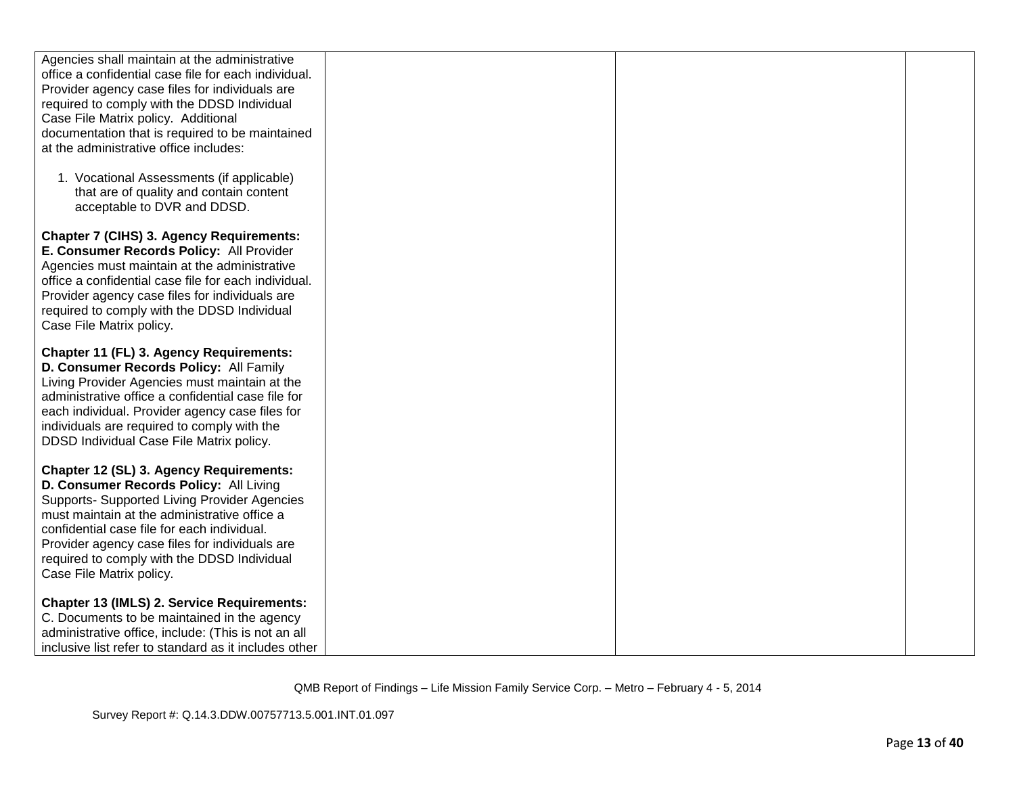| Agencies shall maintain at the administrative         |  |  |
|-------------------------------------------------------|--|--|
| office a confidential case file for each individual.  |  |  |
| Provider agency case files for individuals are        |  |  |
| required to comply with the DDSD Individual           |  |  |
| Case File Matrix policy. Additional                   |  |  |
| documentation that is required to be maintained       |  |  |
| at the administrative office includes:                |  |  |
|                                                       |  |  |
| 1. Vocational Assessments (if applicable)             |  |  |
| that are of quality and contain content               |  |  |
| acceptable to DVR and DDSD.                           |  |  |
|                                                       |  |  |
| <b>Chapter 7 (CIHS) 3. Agency Requirements:</b>       |  |  |
| E. Consumer Records Policy: All Provider              |  |  |
| Agencies must maintain at the administrative          |  |  |
| office a confidential case file for each individual.  |  |  |
| Provider agency case files for individuals are        |  |  |
| required to comply with the DDSD Individual           |  |  |
| Case File Matrix policy.                              |  |  |
|                                                       |  |  |
| <b>Chapter 11 (FL) 3. Agency Requirements:</b>        |  |  |
| D. Consumer Records Policy: All Family                |  |  |
| Living Provider Agencies must maintain at the         |  |  |
| administrative office a confidential case file for    |  |  |
| each individual. Provider agency case files for       |  |  |
| individuals are required to comply with the           |  |  |
| DDSD Individual Case File Matrix policy.              |  |  |
|                                                       |  |  |
| Chapter 12 (SL) 3. Agency Requirements:               |  |  |
| D. Consumer Records Policy: All Living                |  |  |
| Supports- Supported Living Provider Agencies          |  |  |
| must maintain at the administrative office a          |  |  |
| confidential case file for each individual.           |  |  |
| Provider agency case files for individuals are        |  |  |
| required to comply with the DDSD Individual           |  |  |
| Case File Matrix policy.                              |  |  |
| <b>Chapter 13 (IMLS) 2. Service Requirements:</b>     |  |  |
| C. Documents to be maintained in the agency           |  |  |
| administrative office, include: (This is not an all   |  |  |
|                                                       |  |  |
| inclusive list refer to standard as it includes other |  |  |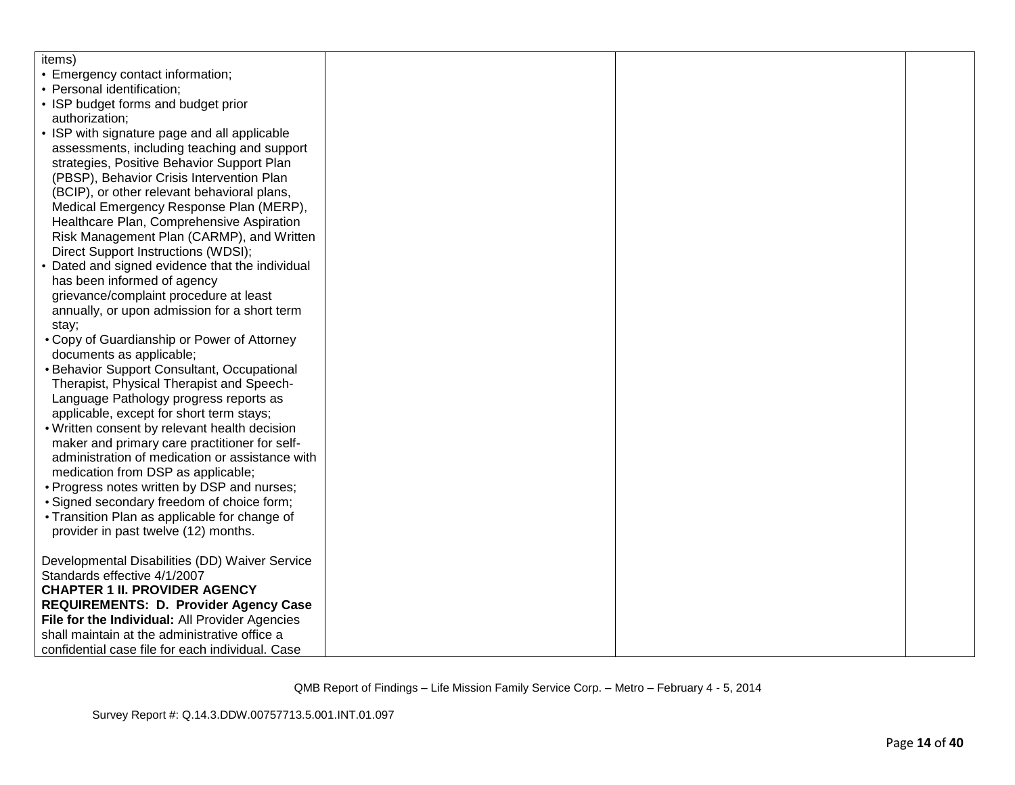| items)                                                                         |  |  |
|--------------------------------------------------------------------------------|--|--|
| • Emergency contact information;                                               |  |  |
| • Personal identification;                                                     |  |  |
| • ISP budget forms and budget prior                                            |  |  |
| authorization:                                                                 |  |  |
| • ISP with signature page and all applicable                                   |  |  |
| assessments, including teaching and support                                    |  |  |
| strategies, Positive Behavior Support Plan                                     |  |  |
| (PBSP), Behavior Crisis Intervention Plan                                      |  |  |
| (BCIP), or other relevant behavioral plans,                                    |  |  |
| Medical Emergency Response Plan (MERP),                                        |  |  |
| Healthcare Plan, Comprehensive Aspiration                                      |  |  |
| Risk Management Plan (CARMP), and Written                                      |  |  |
| Direct Support Instructions (WDSI);                                            |  |  |
| • Dated and signed evidence that the individual                                |  |  |
| has been informed of agency                                                    |  |  |
| grievance/complaint procedure at least                                         |  |  |
| annually, or upon admission for a short term                                   |  |  |
| stay;                                                                          |  |  |
| • Copy of Guardianship or Power of Attorney                                    |  |  |
| documents as applicable;                                                       |  |  |
| • Behavior Support Consultant, Occupational                                    |  |  |
| Therapist, Physical Therapist and Speech-                                      |  |  |
| Language Pathology progress reports as                                         |  |  |
| applicable, except for short term stays;                                       |  |  |
| . Written consent by relevant health decision                                  |  |  |
| maker and primary care practitioner for self-                                  |  |  |
| administration of medication or assistance with                                |  |  |
| medication from DSP as applicable;                                             |  |  |
| • Progress notes written by DSP and nurses;                                    |  |  |
| · Signed secondary freedom of choice form;                                     |  |  |
| • Transition Plan as applicable for change of                                  |  |  |
| provider in past twelve (12) months.                                           |  |  |
|                                                                                |  |  |
| Developmental Disabilities (DD) Waiver Service<br>Standards effective 4/1/2007 |  |  |
| <b>CHAPTER 1 II. PROVIDER AGENCY</b>                                           |  |  |
| <b>REQUIREMENTS: D. Provider Agency Case</b>                                   |  |  |
| File for the Individual: All Provider Agencies                                 |  |  |
| shall maintain at the administrative office a                                  |  |  |
| confidential case file for each individual. Case                               |  |  |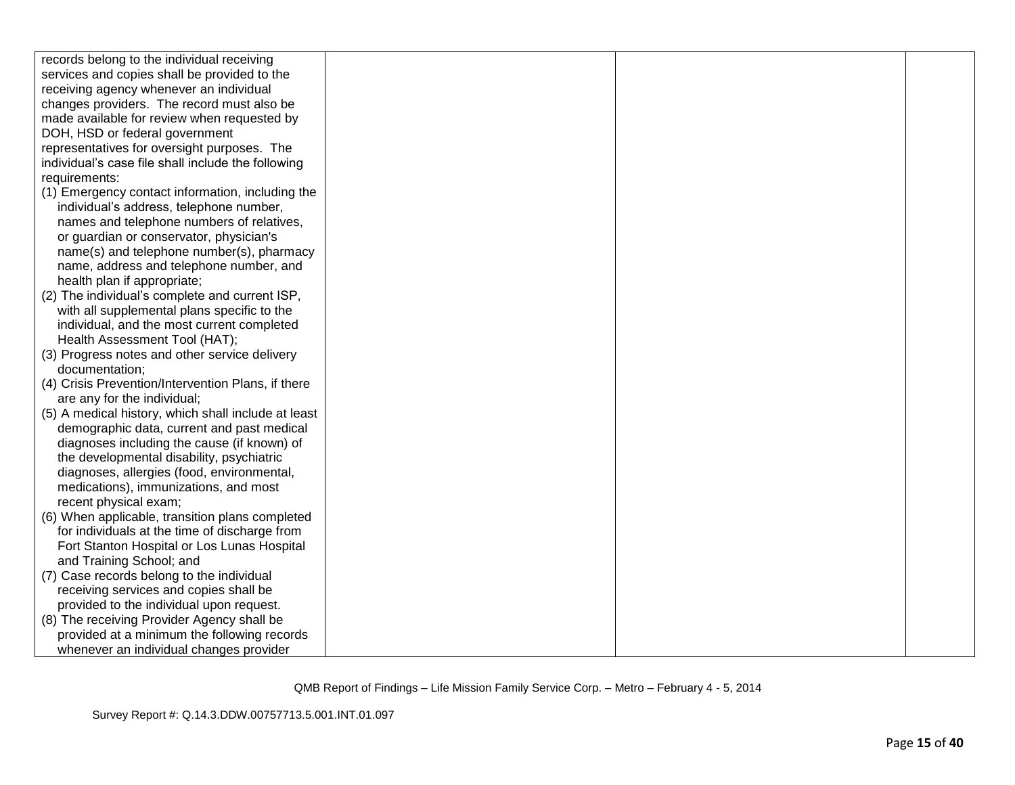| records belong to the individual receiving          |  |  |
|-----------------------------------------------------|--|--|
| services and copies shall be provided to the        |  |  |
| receiving agency whenever an individual             |  |  |
| changes providers. The record must also be          |  |  |
| made available for review when requested by         |  |  |
| DOH, HSD or federal government                      |  |  |
| representatives for oversight purposes. The         |  |  |
| individual's case file shall include the following  |  |  |
| requirements:                                       |  |  |
| (1) Emergency contact information, including the    |  |  |
| individual's address, telephone number,             |  |  |
| names and telephone numbers of relatives,           |  |  |
| or guardian or conservator, physician's             |  |  |
| name(s) and telephone number(s), pharmacy           |  |  |
| name, address and telephone number, and             |  |  |
| health plan if appropriate;                         |  |  |
| (2) The individual's complete and current ISP,      |  |  |
| with all supplemental plans specific to the         |  |  |
| individual, and the most current completed          |  |  |
| Health Assessment Tool (HAT);                       |  |  |
| (3) Progress notes and other service delivery       |  |  |
| documentation;                                      |  |  |
| (4) Crisis Prevention/Intervention Plans, if there  |  |  |
| are any for the individual;                         |  |  |
| (5) A medical history, which shall include at least |  |  |
| demographic data, current and past medical          |  |  |
| diagnoses including the cause (if known) of         |  |  |
| the developmental disability, psychiatric           |  |  |
| diagnoses, allergies (food, environmental,          |  |  |
| medications), immunizations, and most               |  |  |
| recent physical exam;                               |  |  |
| (6) When applicable, transition plans completed     |  |  |
| for individuals at the time of discharge from       |  |  |
| Fort Stanton Hospital or Los Lunas Hospital         |  |  |
| and Training School; and                            |  |  |
| (7) Case records belong to the individual           |  |  |
| receiving services and copies shall be              |  |  |
| provided to the individual upon request.            |  |  |
| (8) The receiving Provider Agency shall be          |  |  |
| provided at a minimum the following records         |  |  |
| whenever an individual changes provider             |  |  |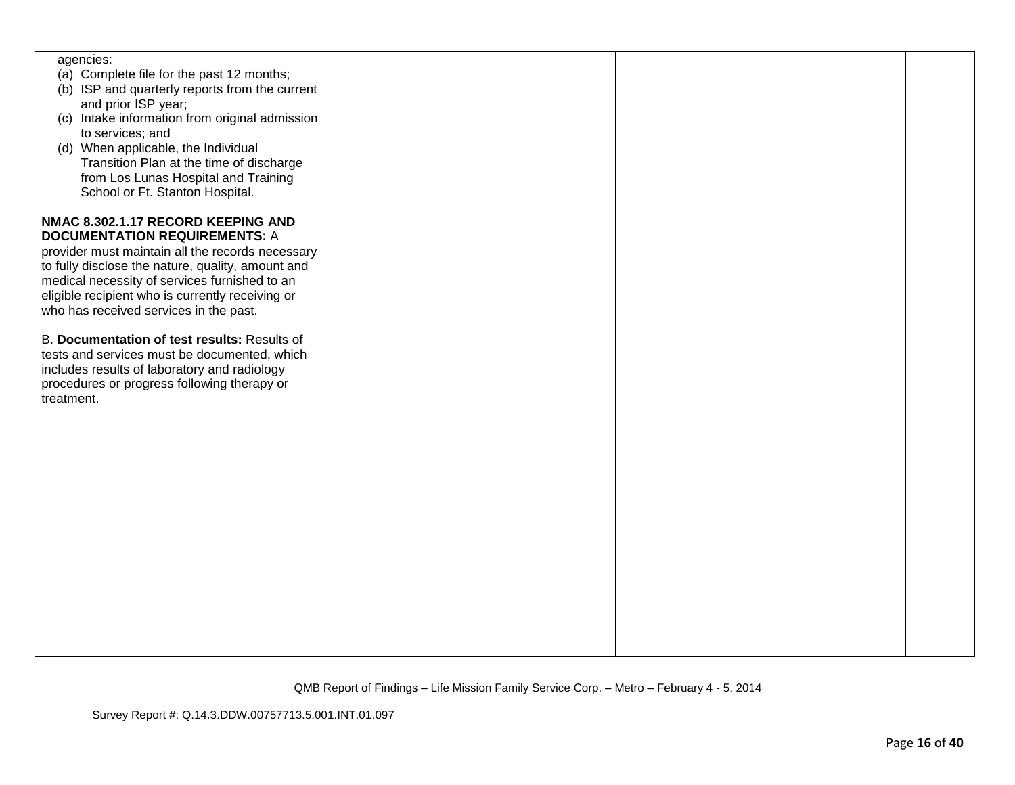| agencies:<br>(a) Complete file for the past 12 months;<br>(b) ISP and quarterly reports from the current<br>and prior ISP year;<br>(c) Intake information from original admission<br>to services; and<br>(d) When applicable, the Individual<br>Transition Plan at the time of discharge<br>from Los Lunas Hospital and Training<br>School or Ft. Stanton Hospital. |  |  |
|---------------------------------------------------------------------------------------------------------------------------------------------------------------------------------------------------------------------------------------------------------------------------------------------------------------------------------------------------------------------|--|--|
| NMAC 8.302.1.17 RECORD KEEPING AND<br><b>DOCUMENTATION REQUIREMENTS: A</b><br>provider must maintain all the records necessary<br>to fully disclose the nature, quality, amount and<br>medical necessity of services furnished to an<br>eligible recipient who is currently receiving or<br>who has received services in the past.                                  |  |  |
| B. Documentation of test results: Results of<br>tests and services must be documented, which<br>includes results of laboratory and radiology<br>procedures or progress following therapy or<br>treatment.                                                                                                                                                           |  |  |
|                                                                                                                                                                                                                                                                                                                                                                     |  |  |
|                                                                                                                                                                                                                                                                                                                                                                     |  |  |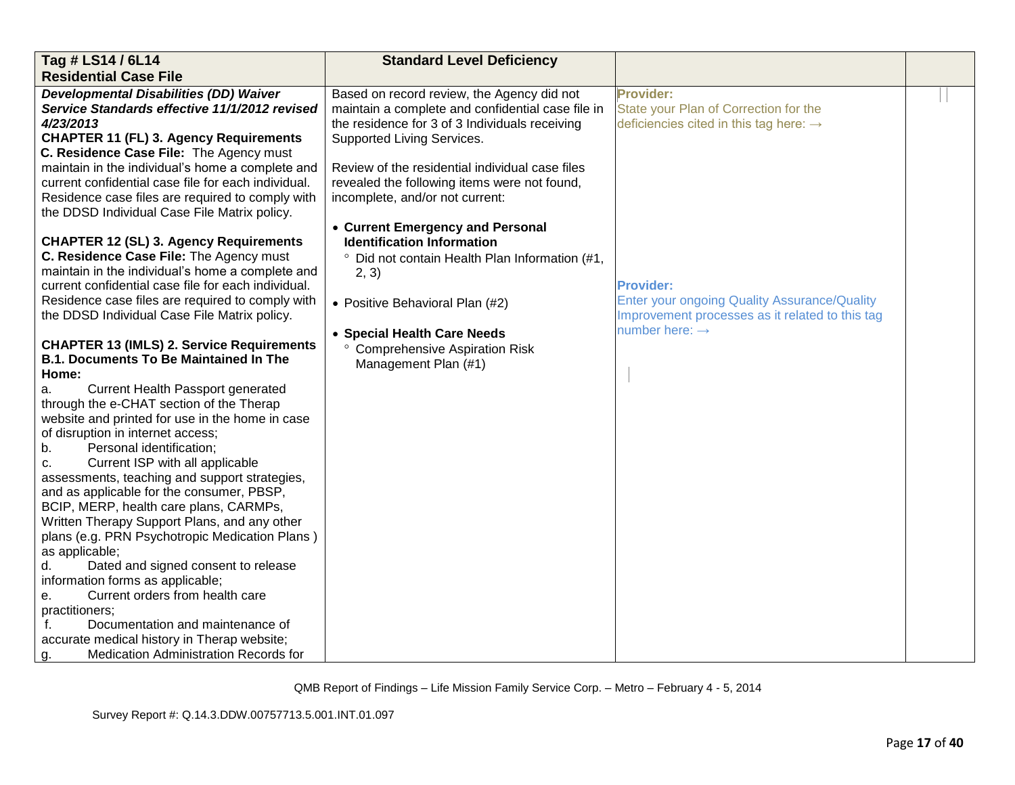| Tag # LS14 / 6L14                                   | <b>Standard Level Deficiency</b>                          |                                                     |  |
|-----------------------------------------------------|-----------------------------------------------------------|-----------------------------------------------------|--|
| <b>Residential Case File</b>                        |                                                           |                                                     |  |
| <b>Developmental Disabilities (DD) Waiver</b>       | Based on record review, the Agency did not                | Provider:                                           |  |
| Service Standards effective 11/1/2012 revised       | maintain a complete and confidential case file in         | State your Plan of Correction for the               |  |
| 4/23/2013                                           | the residence for 3 of 3 Individuals receiving            | deficiencies cited in this tag here: $\rightarrow$  |  |
| <b>CHAPTER 11 (FL) 3. Agency Requirements</b>       | Supported Living Services.                                |                                                     |  |
| C. Residence Case File: The Agency must             |                                                           |                                                     |  |
| maintain in the individual's home a complete and    | Review of the residential individual case files           |                                                     |  |
| current confidential case file for each individual. | revealed the following items were not found,              |                                                     |  |
| Residence case files are required to comply with    | incomplete, and/or not current:                           |                                                     |  |
| the DDSD Individual Case File Matrix policy.        |                                                           |                                                     |  |
|                                                     | • Current Emergency and Personal                          |                                                     |  |
| <b>CHAPTER 12 (SL) 3. Agency Requirements</b>       | <b>Identification Information</b>                         |                                                     |  |
| C. Residence Case File: The Agency must             | <sup>o</sup> Did not contain Health Plan Information (#1, |                                                     |  |
| maintain in the individual's home a complete and    | 2, 3)                                                     |                                                     |  |
| current confidential case file for each individual. |                                                           | <b>Provider:</b>                                    |  |
| Residence case files are required to comply with    | • Positive Behavioral Plan (#2)                           | <b>Enter your ongoing Quality Assurance/Quality</b> |  |
| the DDSD Individual Case File Matrix policy.        |                                                           | Improvement processes as it related to this tag     |  |
|                                                     | • Special Health Care Needs                               | number here: $\rightarrow$                          |  |
| <b>CHAPTER 13 (IMLS) 2. Service Requirements</b>    | ° Comprehensive Aspiration Risk                           |                                                     |  |
| <b>B.1. Documents To Be Maintained In The</b>       | Management Plan (#1)                                      |                                                     |  |
| Home:                                               |                                                           |                                                     |  |
| Current Health Passport generated<br>a.             |                                                           |                                                     |  |
| through the e-CHAT section of the Therap            |                                                           |                                                     |  |
| website and printed for use in the home in case     |                                                           |                                                     |  |
| of disruption in internet access;                   |                                                           |                                                     |  |
| Personal identification;<br>b.                      |                                                           |                                                     |  |
| Current ISP with all applicable<br>c.               |                                                           |                                                     |  |
| assessments, teaching and support strategies,       |                                                           |                                                     |  |
| and as applicable for the consumer, PBSP,           |                                                           |                                                     |  |
| BCIP, MERP, health care plans, CARMPs,              |                                                           |                                                     |  |
| Written Therapy Support Plans, and any other        |                                                           |                                                     |  |
| plans (e.g. PRN Psychotropic Medication Plans)      |                                                           |                                                     |  |
| as applicable;                                      |                                                           |                                                     |  |
| Dated and signed consent to release<br>d.           |                                                           |                                                     |  |
| information forms as applicable;                    |                                                           |                                                     |  |
| Current orders from health care<br>е.               |                                                           |                                                     |  |
| practitioners;                                      |                                                           |                                                     |  |
| Documentation and maintenance of<br>f.              |                                                           |                                                     |  |
| accurate medical history in Therap website;         |                                                           |                                                     |  |
| <b>Medication Administration Records for</b><br>g.  |                                                           |                                                     |  |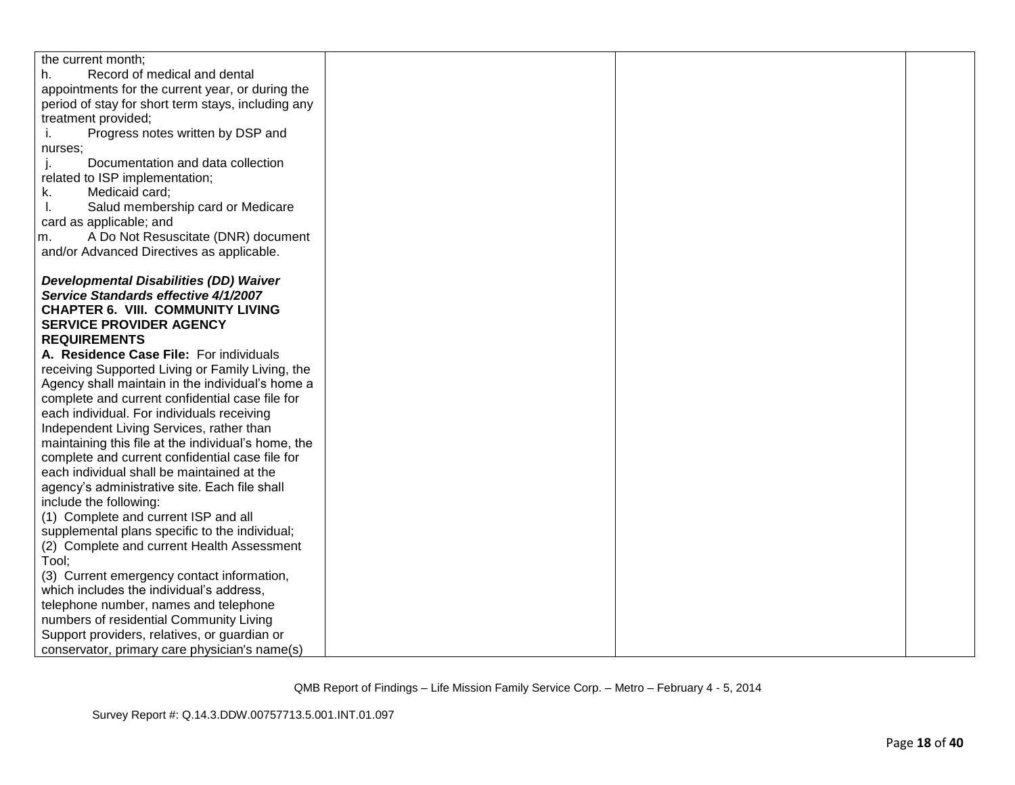| the current month;                                  |  |  |
|-----------------------------------------------------|--|--|
| Record of medical and dental<br>h.                  |  |  |
| appointments for the current year, or during the    |  |  |
| period of stay for short term stays, including any  |  |  |
| treatment provided;                                 |  |  |
| Progress notes written by DSP and<br>i.             |  |  |
| nurses:                                             |  |  |
| Documentation and data collection                   |  |  |
| related to ISP implementation;                      |  |  |
| k.<br>Medicaid card;                                |  |  |
| Salud membership card or Medicare<br>I.             |  |  |
| card as applicable; and                             |  |  |
| A Do Not Resuscitate (DNR) document<br>m.           |  |  |
| and/or Advanced Directives as applicable.           |  |  |
|                                                     |  |  |
| <b>Developmental Disabilities (DD) Waiver</b>       |  |  |
| Service Standards effective 4/1/2007                |  |  |
| <b>CHAPTER 6. VIII. COMMUNITY LIVING</b>            |  |  |
| <b>SERVICE PROVIDER AGENCY</b>                      |  |  |
| <b>REQUIREMENTS</b>                                 |  |  |
| A. Residence Case File: For individuals             |  |  |
| receiving Supported Living or Family Living, the    |  |  |
| Agency shall maintain in the individual's home a    |  |  |
| complete and current confidential case file for     |  |  |
| each individual. For individuals receiving          |  |  |
| Independent Living Services, rather than            |  |  |
| maintaining this file at the individual's home, the |  |  |
| complete and current confidential case file for     |  |  |
| each individual shall be maintained at the          |  |  |
| agency's administrative site. Each file shall       |  |  |
| include the following:                              |  |  |
| (1) Complete and current ISP and all                |  |  |
| supplemental plans specific to the individual;      |  |  |
| (2) Complete and current Health Assessment          |  |  |
| Tool;                                               |  |  |
| (3) Current emergency contact information,          |  |  |
| which includes the individual's address,            |  |  |
| telephone number, names and telephone               |  |  |
| numbers of residential Community Living             |  |  |
| Support providers, relatives, or guardian or        |  |  |
| conservator, primary care physician's name(s)       |  |  |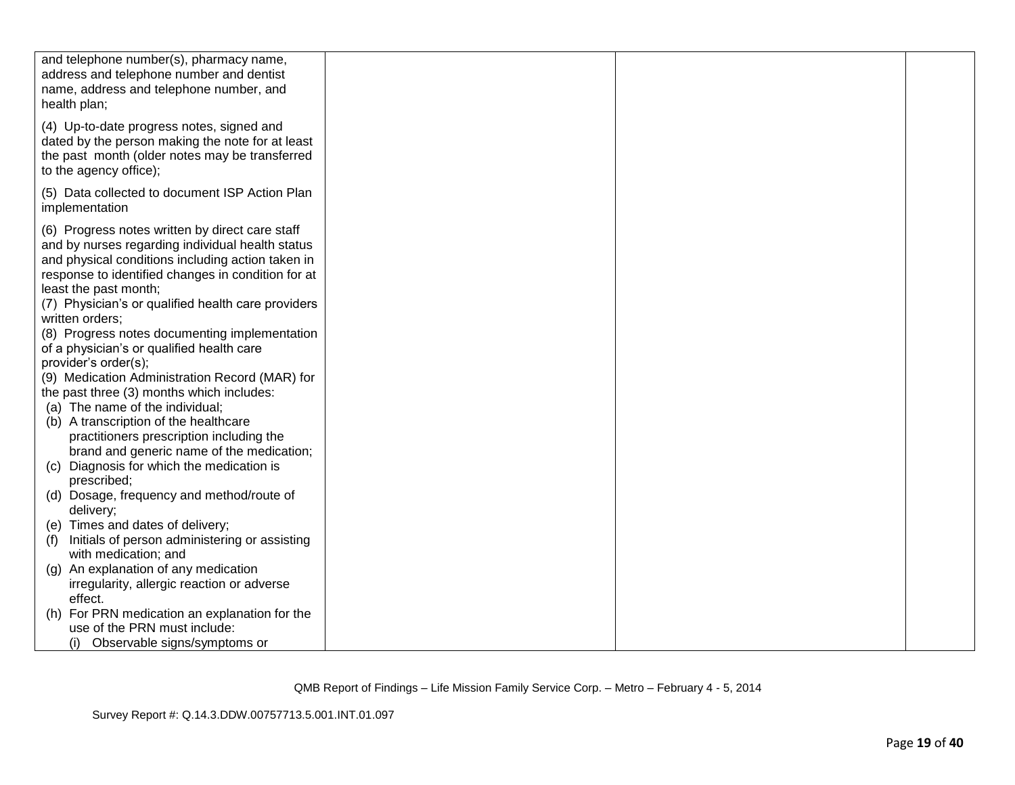| and telephone number(s), pharmacy name,<br>address and telephone number and dentist<br>name, address and telephone number, and<br>health plan;                                                                                                                                                                                                                                                                                                                                                                                                                                                                                                                                                                                                                                                                                   |  |  |
|----------------------------------------------------------------------------------------------------------------------------------------------------------------------------------------------------------------------------------------------------------------------------------------------------------------------------------------------------------------------------------------------------------------------------------------------------------------------------------------------------------------------------------------------------------------------------------------------------------------------------------------------------------------------------------------------------------------------------------------------------------------------------------------------------------------------------------|--|--|
| (4) Up-to-date progress notes, signed and<br>dated by the person making the note for at least<br>the past month (older notes may be transferred<br>to the agency office);                                                                                                                                                                                                                                                                                                                                                                                                                                                                                                                                                                                                                                                        |  |  |
| (5) Data collected to document ISP Action Plan<br>implementation                                                                                                                                                                                                                                                                                                                                                                                                                                                                                                                                                                                                                                                                                                                                                                 |  |  |
| (6) Progress notes written by direct care staff<br>and by nurses regarding individual health status<br>and physical conditions including action taken in<br>response to identified changes in condition for at<br>least the past month;<br>(7) Physician's or qualified health care providers<br>written orders;<br>(8) Progress notes documenting implementation<br>of a physician's or qualified health care<br>provider's order(s);<br>(9) Medication Administration Record (MAR) for<br>the past three (3) months which includes:<br>(a) The name of the individual;<br>(b) A transcription of the healthcare<br>practitioners prescription including the<br>brand and generic name of the medication;<br>(c) Diagnosis for which the medication is<br>prescribed;<br>(d) Dosage, frequency and method/route of<br>delivery; |  |  |
| (e) Times and dates of delivery;<br>Initials of person administering or assisting<br>(f)                                                                                                                                                                                                                                                                                                                                                                                                                                                                                                                                                                                                                                                                                                                                         |  |  |
| with medication; and<br>(g) An explanation of any medication<br>irregularity, allergic reaction or adverse<br>effect.                                                                                                                                                                                                                                                                                                                                                                                                                                                                                                                                                                                                                                                                                                            |  |  |
| (h) For PRN medication an explanation for the<br>use of the PRN must include:<br>Observable signs/symptoms or<br>(i)                                                                                                                                                                                                                                                                                                                                                                                                                                                                                                                                                                                                                                                                                                             |  |  |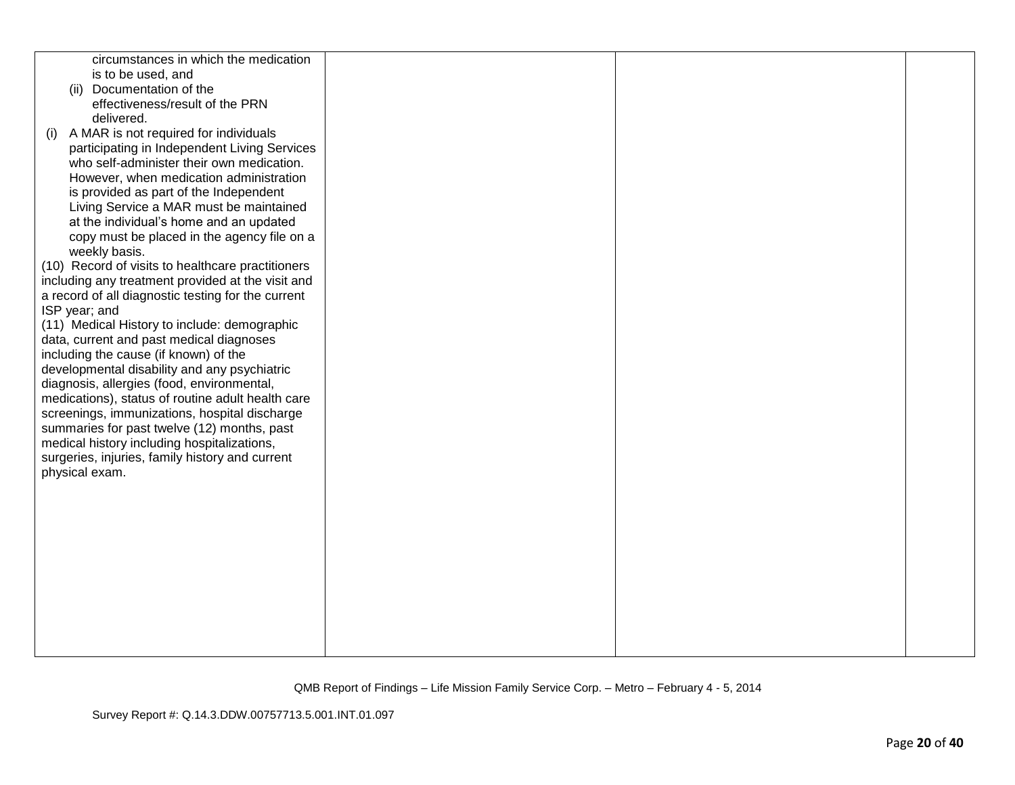| circumstances in which the medication              |  |  |
|----------------------------------------------------|--|--|
| is to be used, and                                 |  |  |
|                                                    |  |  |
| (ii) Documentation of the                          |  |  |
| effectiveness/result of the PRN                    |  |  |
| delivered.                                         |  |  |
| A MAR is not required for individuals<br>(i)       |  |  |
| participating in Independent Living Services       |  |  |
| who self-administer their own medication.          |  |  |
| However, when medication administration            |  |  |
| is provided as part of the Independent             |  |  |
| Living Service a MAR must be maintained            |  |  |
| at the individual's home and an updated            |  |  |
|                                                    |  |  |
| copy must be placed in the agency file on a        |  |  |
| weekly basis.                                      |  |  |
| (10) Record of visits to healthcare practitioners  |  |  |
| including any treatment provided at the visit and  |  |  |
| a record of all diagnostic testing for the current |  |  |
| ISP year; and                                      |  |  |
| (11) Medical History to include: demographic       |  |  |
| data, current and past medical diagnoses           |  |  |
| including the cause (if known) of the              |  |  |
| developmental disability and any psychiatric       |  |  |
| diagnosis, allergies (food, environmental,         |  |  |
| medications), status of routine adult health care  |  |  |
| screenings, immunizations, hospital discharge      |  |  |
| summaries for past twelve (12) months, past        |  |  |
| medical history including hospitalizations,        |  |  |
|                                                    |  |  |
| surgeries, injuries, family history and current    |  |  |
| physical exam.                                     |  |  |
|                                                    |  |  |
|                                                    |  |  |
|                                                    |  |  |
|                                                    |  |  |
|                                                    |  |  |
|                                                    |  |  |
|                                                    |  |  |
|                                                    |  |  |
|                                                    |  |  |
|                                                    |  |  |
|                                                    |  |  |
|                                                    |  |  |
|                                                    |  |  |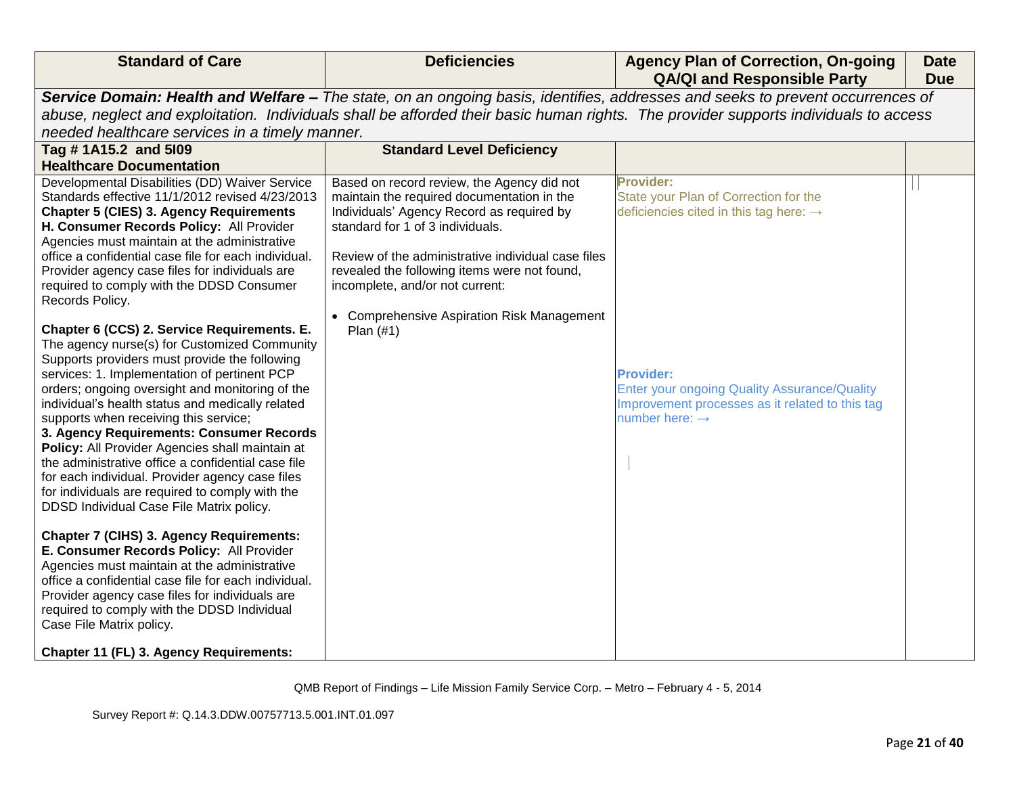| <b>Standard of Care</b>                                                                                                              | <b>Deficiencies</b>                                                                                | <b>Agency Plan of Correction, On-going</b><br><b>QA/QI and Responsible Party</b>                                               | <b>Date</b><br><b>Due</b> |  |
|--------------------------------------------------------------------------------------------------------------------------------------|----------------------------------------------------------------------------------------------------|--------------------------------------------------------------------------------------------------------------------------------|---------------------------|--|
|                                                                                                                                      |                                                                                                    | Service Domain: Health and Welfare - The state, on an ongoing basis, identifies, addresses and seeks to prevent occurrences of |                           |  |
| abuse, neglect and exploitation. Individuals shall be afforded their basic human rights. The provider supports individuals to access |                                                                                                    |                                                                                                                                |                           |  |
| needed healthcare services in a timely manner.                                                                                       |                                                                                                    |                                                                                                                                |                           |  |
| Tag # 1A15.2 and 5109                                                                                                                | <b>Standard Level Deficiency</b>                                                                   |                                                                                                                                |                           |  |
| <b>Healthcare Documentation</b>                                                                                                      |                                                                                                    |                                                                                                                                |                           |  |
| Developmental Disabilities (DD) Waiver Service                                                                                       | Based on record review, the Agency did not                                                         | <b>Provider:</b>                                                                                                               |                           |  |
| Standards effective 11/1/2012 revised 4/23/2013                                                                                      | maintain the required documentation in the                                                         | State your Plan of Correction for the                                                                                          |                           |  |
| <b>Chapter 5 (CIES) 3. Agency Requirements</b>                                                                                       | Individuals' Agency Record as required by                                                          | deficiencies cited in this tag here: $\rightarrow$                                                                             |                           |  |
| H. Consumer Records Policy: All Provider                                                                                             | standard for 1 of 3 individuals.                                                                   |                                                                                                                                |                           |  |
| Agencies must maintain at the administrative<br>office a confidential case file for each individual.                                 |                                                                                                    |                                                                                                                                |                           |  |
| Provider agency case files for individuals are                                                                                       | Review of the administrative individual case files<br>revealed the following items were not found, |                                                                                                                                |                           |  |
| required to comply with the DDSD Consumer                                                                                            | incomplete, and/or not current:                                                                    |                                                                                                                                |                           |  |
| Records Policy.                                                                                                                      |                                                                                                    |                                                                                                                                |                           |  |
|                                                                                                                                      | • Comprehensive Aspiration Risk Management                                                         |                                                                                                                                |                           |  |
| Chapter 6 (CCS) 2. Service Requirements. E.                                                                                          | Plan $(#1)$                                                                                        |                                                                                                                                |                           |  |
| The agency nurse(s) for Customized Community                                                                                         |                                                                                                    |                                                                                                                                |                           |  |
| Supports providers must provide the following                                                                                        |                                                                                                    |                                                                                                                                |                           |  |
| services: 1. Implementation of pertinent PCP                                                                                         |                                                                                                    | <b>Provider:</b>                                                                                                               |                           |  |
| orders; ongoing oversight and monitoring of the                                                                                      |                                                                                                    | Enter your ongoing Quality Assurance/Quality                                                                                   |                           |  |
| individual's health status and medically related                                                                                     |                                                                                                    | Improvement processes as it related to this tag                                                                                |                           |  |
| supports when receiving this service;                                                                                                |                                                                                                    | number here: $\rightarrow$                                                                                                     |                           |  |
| 3. Agency Requirements: Consumer Records<br>Policy: All Provider Agencies shall maintain at                                          |                                                                                                    |                                                                                                                                |                           |  |
| the administrative office a confidential case file                                                                                   |                                                                                                    |                                                                                                                                |                           |  |
| for each individual. Provider agency case files                                                                                      |                                                                                                    |                                                                                                                                |                           |  |
| for individuals are required to comply with the                                                                                      |                                                                                                    |                                                                                                                                |                           |  |
| DDSD Individual Case File Matrix policy.                                                                                             |                                                                                                    |                                                                                                                                |                           |  |
|                                                                                                                                      |                                                                                                    |                                                                                                                                |                           |  |
| <b>Chapter 7 (CIHS) 3. Agency Requirements:</b>                                                                                      |                                                                                                    |                                                                                                                                |                           |  |
| E. Consumer Records Policy: All Provider                                                                                             |                                                                                                    |                                                                                                                                |                           |  |
| Agencies must maintain at the administrative                                                                                         |                                                                                                    |                                                                                                                                |                           |  |
| office a confidential case file for each individual.                                                                                 |                                                                                                    |                                                                                                                                |                           |  |
| Provider agency case files for individuals are                                                                                       |                                                                                                    |                                                                                                                                |                           |  |
| required to comply with the DDSD Individual<br>Case File Matrix policy.                                                              |                                                                                                    |                                                                                                                                |                           |  |
|                                                                                                                                      |                                                                                                    |                                                                                                                                |                           |  |
| Chapter 11 (FL) 3. Agency Requirements:                                                                                              |                                                                                                    |                                                                                                                                |                           |  |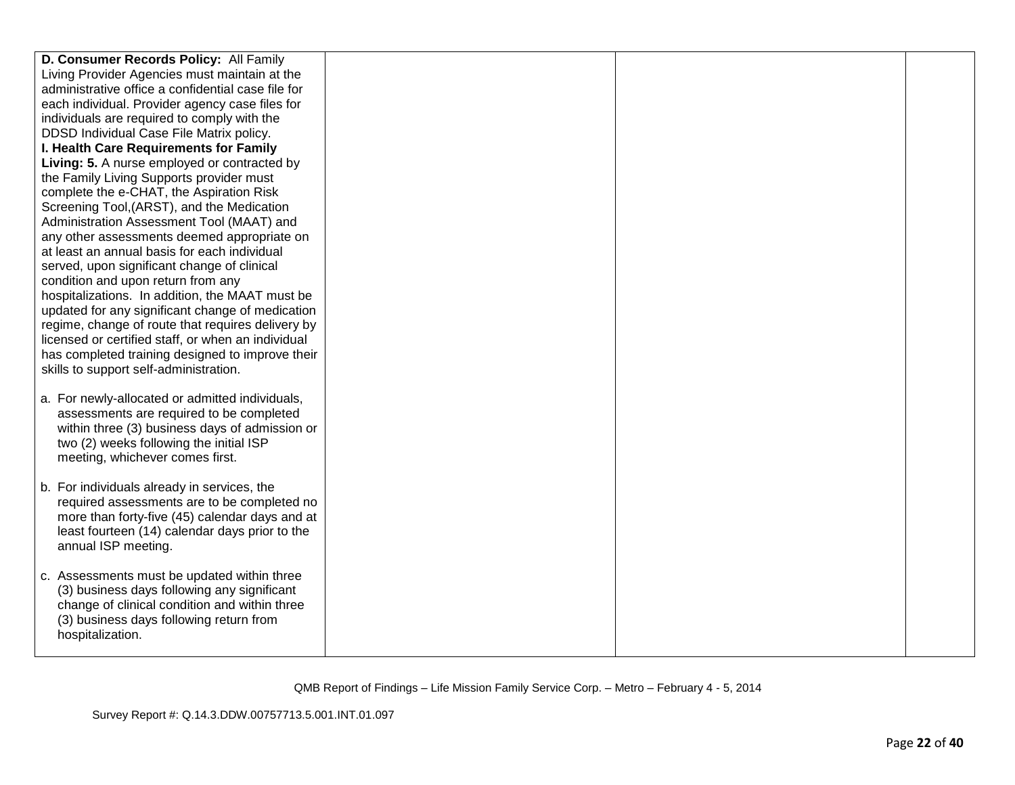| D. Consumer Records Policy: All Family             |  |  |
|----------------------------------------------------|--|--|
| Living Provider Agencies must maintain at the      |  |  |
| administrative office a confidential case file for |  |  |
| each individual. Provider agency case files for    |  |  |
| individuals are required to comply with the        |  |  |
| DDSD Individual Case File Matrix policy.           |  |  |
| I. Health Care Requirements for Family             |  |  |
| Living: 5. A nurse employed or contracted by       |  |  |
| the Family Living Supports provider must           |  |  |
| complete the e-CHAT, the Aspiration Risk           |  |  |
| Screening Tool, (ARST), and the Medication         |  |  |
| Administration Assessment Tool (MAAT) and          |  |  |
| any other assessments deemed appropriate on        |  |  |
| at least an annual basis for each individual       |  |  |
| served, upon significant change of clinical        |  |  |
| condition and upon return from any                 |  |  |
| hospitalizations. In addition, the MAAT must be    |  |  |
| updated for any significant change of medication   |  |  |
| regime, change of route that requires delivery by  |  |  |
| licensed or certified staff, or when an individual |  |  |
| has completed training designed to improve their   |  |  |
| skills to support self-administration.             |  |  |
|                                                    |  |  |
| a. For newly-allocated or admitted individuals,    |  |  |
| assessments are required to be completed           |  |  |
| within three (3) business days of admission or     |  |  |
| two (2) weeks following the initial ISP            |  |  |
| meeting, whichever comes first.                    |  |  |
|                                                    |  |  |
| b. For individuals already in services, the        |  |  |
| required assessments are to be completed no        |  |  |
| more than forty-five (45) calendar days and at     |  |  |
| least fourteen (14) calendar days prior to the     |  |  |
| annual ISP meeting.                                |  |  |
|                                                    |  |  |
| c. Assessments must be updated within three        |  |  |
| (3) business days following any significant        |  |  |
| change of clinical condition and within three      |  |  |
| (3) business days following return from            |  |  |
| hospitalization.                                   |  |  |
|                                                    |  |  |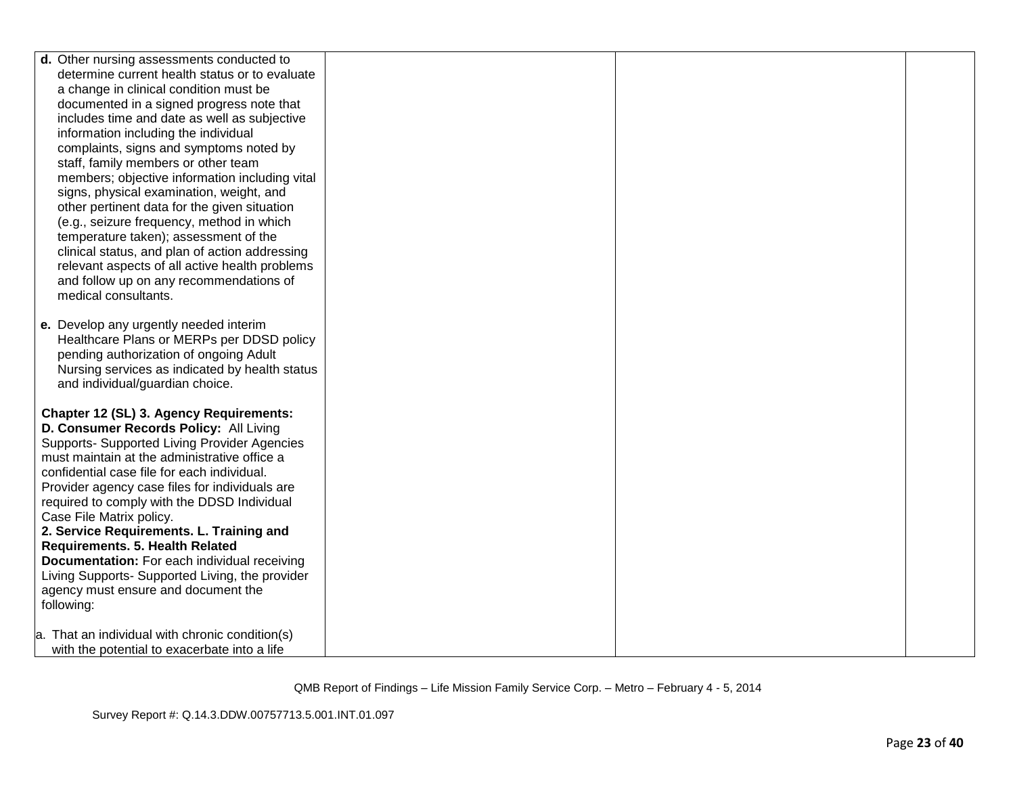| d. Other nursing assessments conducted to       |  |  |
|-------------------------------------------------|--|--|
| determine current health status or to evaluate  |  |  |
| a change in clinical condition must be          |  |  |
| documented in a signed progress note that       |  |  |
| includes time and date as well as subjective    |  |  |
| information including the individual            |  |  |
| complaints, signs and symptoms noted by         |  |  |
| staff, family members or other team             |  |  |
|                                                 |  |  |
| members; objective information including vital  |  |  |
| signs, physical examination, weight, and        |  |  |
| other pertinent data for the given situation    |  |  |
| (e.g., seizure frequency, method in which       |  |  |
| temperature taken); assessment of the           |  |  |
| clinical status, and plan of action addressing  |  |  |
| relevant aspects of all active health problems  |  |  |
| and follow up on any recommendations of         |  |  |
| medical consultants.                            |  |  |
|                                                 |  |  |
| e. Develop any urgently needed interim          |  |  |
| Healthcare Plans or MERPs per DDSD policy       |  |  |
| pending authorization of ongoing Adult          |  |  |
| Nursing services as indicated by health status  |  |  |
| and individual/guardian choice.                 |  |  |
|                                                 |  |  |
| Chapter 12 (SL) 3. Agency Requirements:         |  |  |
| D. Consumer Records Policy: All Living          |  |  |
| Supports- Supported Living Provider Agencies    |  |  |
| must maintain at the administrative office a    |  |  |
| confidential case file for each individual.     |  |  |
| Provider agency case files for individuals are  |  |  |
| required to comply with the DDSD Individual     |  |  |
| Case File Matrix policy.                        |  |  |
| 2. Service Requirements. L. Training and        |  |  |
| <b>Requirements. 5. Health Related</b>          |  |  |
| Documentation: For each individual receiving    |  |  |
| Living Supports- Supported Living, the provider |  |  |
| agency must ensure and document the             |  |  |
| following:                                      |  |  |
|                                                 |  |  |
| a. That an individual with chronic condition(s) |  |  |
| with the potential to exacerbate into a life    |  |  |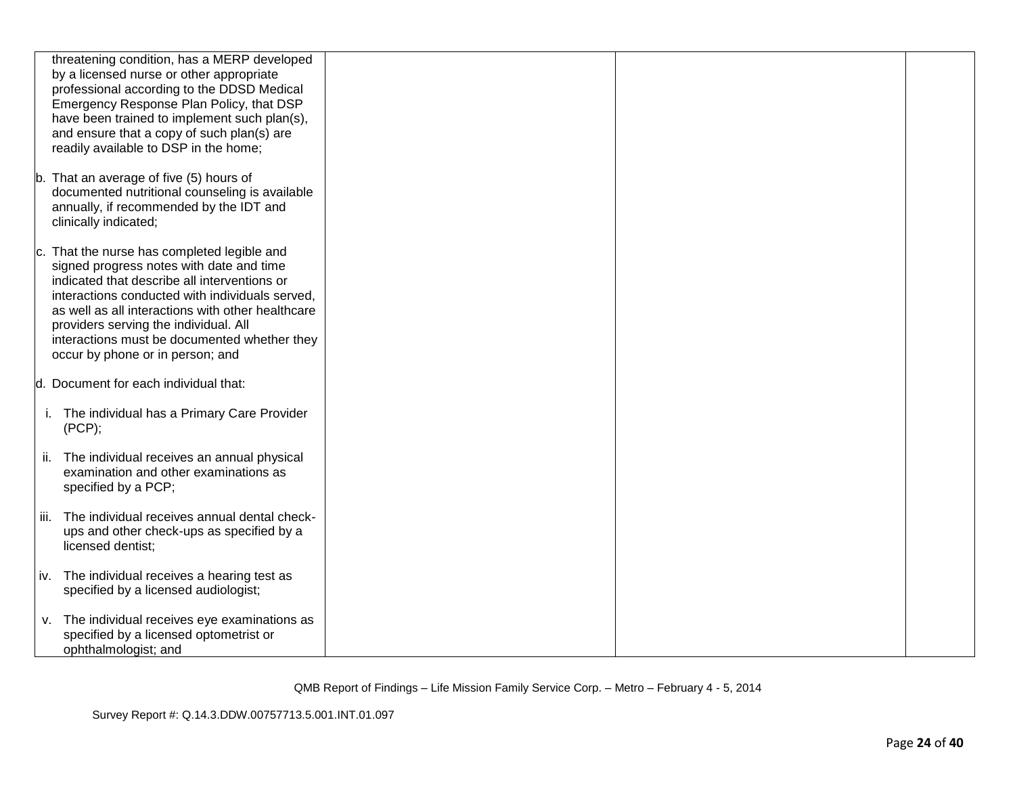|      | threatening condition, has a MERP developed       |  |  |
|------|---------------------------------------------------|--|--|
|      | by a licensed nurse or other appropriate          |  |  |
|      | professional according to the DDSD Medical        |  |  |
|      |                                                   |  |  |
|      | Emergency Response Plan Policy, that DSP          |  |  |
|      | have been trained to implement such plan(s),      |  |  |
|      | and ensure that a copy of such plan(s) are        |  |  |
|      | readily available to DSP in the home;             |  |  |
|      |                                                   |  |  |
|      | b. That an average of five (5) hours of           |  |  |
|      | documented nutritional counseling is available    |  |  |
|      | annually, if recommended by the IDT and           |  |  |
|      | clinically indicated;                             |  |  |
|      |                                                   |  |  |
|      | c. That the nurse has completed legible and       |  |  |
|      | signed progress notes with date and time          |  |  |
|      |                                                   |  |  |
|      | indicated that describe all interventions or      |  |  |
|      | interactions conducted with individuals served,   |  |  |
|      | as well as all interactions with other healthcare |  |  |
|      | providers serving the individual. All             |  |  |
|      | interactions must be documented whether they      |  |  |
|      | occur by phone or in person; and                  |  |  |
|      |                                                   |  |  |
|      | d. Document for each individual that:             |  |  |
|      |                                                   |  |  |
|      | i. The individual has a Primary Care Provider     |  |  |
|      | (PCP);                                            |  |  |
|      |                                                   |  |  |
|      | ii. The individual receives an annual physical    |  |  |
|      | examination and other examinations as             |  |  |
|      | specified by a PCP;                               |  |  |
|      |                                                   |  |  |
|      | The individual receives annual dental check-      |  |  |
| iii. |                                                   |  |  |
|      | ups and other check-ups as specified by a         |  |  |
|      | licensed dentist;                                 |  |  |
|      |                                                   |  |  |
|      | iv. The individual receives a hearing test as     |  |  |
|      | specified by a licensed audiologist;              |  |  |
|      |                                                   |  |  |
|      | v. The individual receives eye examinations as    |  |  |
|      | specified by a licensed optometrist or            |  |  |
|      | ophthalmologist; and                              |  |  |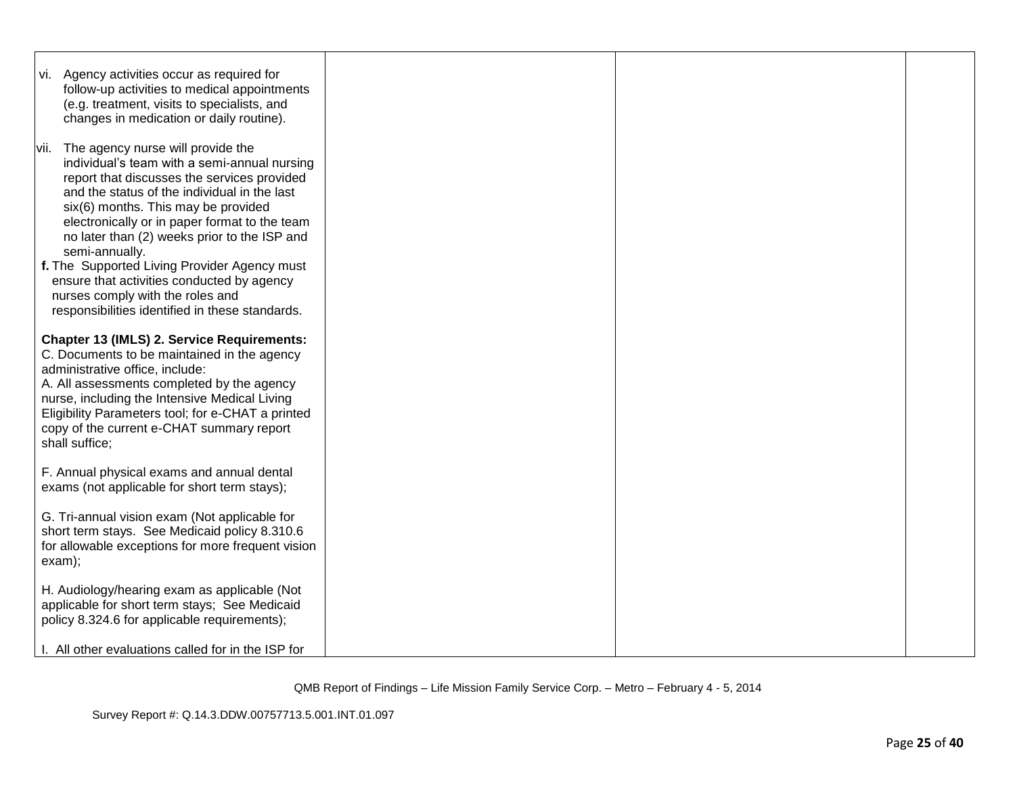| vi. Agency activities occur as required for<br>follow-up activities to medical appointments<br>(e.g. treatment, visits to specialists, and<br>changes in medication or daily routine).                                                                                                                                                                                                                                                                                                                                               |  |  |
|--------------------------------------------------------------------------------------------------------------------------------------------------------------------------------------------------------------------------------------------------------------------------------------------------------------------------------------------------------------------------------------------------------------------------------------------------------------------------------------------------------------------------------------|--|--|
| vii. The agency nurse will provide the<br>individual's team with a semi-annual nursing<br>report that discusses the services provided<br>and the status of the individual in the last<br>six(6) months. This may be provided<br>electronically or in paper format to the team<br>no later than (2) weeks prior to the ISP and<br>semi-annually.<br>f. The Supported Living Provider Agency must<br>ensure that activities conducted by agency<br>nurses comply with the roles and<br>responsibilities identified in these standards. |  |  |
| <b>Chapter 13 (IMLS) 2. Service Requirements:</b><br>C. Documents to be maintained in the agency<br>administrative office, include:<br>A. All assessments completed by the agency<br>nurse, including the Intensive Medical Living<br>Eligibility Parameters tool; for e-CHAT a printed<br>copy of the current e-CHAT summary report<br>shall suffice;                                                                                                                                                                               |  |  |
| F. Annual physical exams and annual dental<br>exams (not applicable for short term stays);                                                                                                                                                                                                                                                                                                                                                                                                                                           |  |  |
| G. Tri-annual vision exam (Not applicable for<br>short term stays. See Medicaid policy 8.310.6<br>for allowable exceptions for more frequent vision<br>exam);                                                                                                                                                                                                                                                                                                                                                                        |  |  |
| H. Audiology/hearing exam as applicable (Not<br>applicable for short term stays; See Medicaid<br>policy 8.324.6 for applicable requirements);                                                                                                                                                                                                                                                                                                                                                                                        |  |  |
| I. All other evaluations called for in the ISP for                                                                                                                                                                                                                                                                                                                                                                                                                                                                                   |  |  |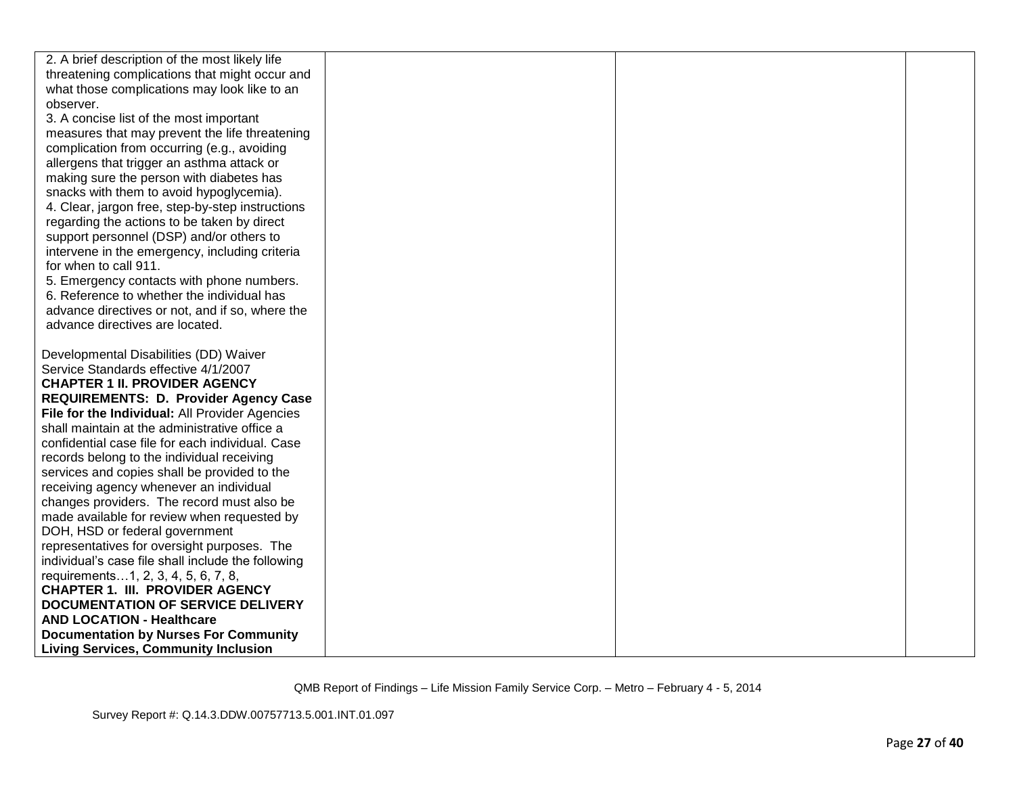| 2. A brief description of the most likely life                                |  |  |
|-------------------------------------------------------------------------------|--|--|
| threatening complications that might occur and                                |  |  |
| what those complications may look like to an                                  |  |  |
| observer.                                                                     |  |  |
| 3. A concise list of the most important                                       |  |  |
| measures that may prevent the life threatening                                |  |  |
| complication from occurring (e.g., avoiding                                   |  |  |
| allergens that trigger an asthma attack or                                    |  |  |
| making sure the person with diabetes has                                      |  |  |
| snacks with them to avoid hypoglycemia).                                      |  |  |
| 4. Clear, jargon free, step-by-step instructions                              |  |  |
| regarding the actions to be taken by direct                                   |  |  |
| support personnel (DSP) and/or others to                                      |  |  |
| intervene in the emergency, including criteria                                |  |  |
| for when to call 911.                                                         |  |  |
| 5. Emergency contacts with phone numbers.                                     |  |  |
| 6. Reference to whether the individual has                                    |  |  |
| advance directives or not, and if so, where the                               |  |  |
| advance directives are located.                                               |  |  |
|                                                                               |  |  |
| Developmental Disabilities (DD) Waiver                                        |  |  |
| Service Standards effective 4/1/2007                                          |  |  |
| <b>CHAPTER 1 II. PROVIDER AGENCY</b>                                          |  |  |
| <b>REQUIREMENTS: D. Provider Agency Case</b>                                  |  |  |
| File for the Individual: All Provider Agencies                                |  |  |
| shall maintain at the administrative office a                                 |  |  |
| confidential case file for each individual. Case                              |  |  |
| records belong to the individual receiving                                    |  |  |
| services and copies shall be provided to the                                  |  |  |
| receiving agency whenever an individual                                       |  |  |
| changes providers. The record must also be                                    |  |  |
| made available for review when requested by                                   |  |  |
| DOH, HSD or federal government                                                |  |  |
| representatives for oversight purposes. The                                   |  |  |
| individual's case file shall include the following                            |  |  |
| requirements1, 2, 3, 4, 5, 6, 7, 8,<br><b>CHAPTER 1. III. PROVIDER AGENCY</b> |  |  |
| <b>DOCUMENTATION OF SERVICE DELIVERY</b>                                      |  |  |
| <b>AND LOCATION - Healthcare</b>                                              |  |  |
| <b>Documentation by Nurses For Community</b>                                  |  |  |
|                                                                               |  |  |
| <b>Living Services, Community Inclusion</b>                                   |  |  |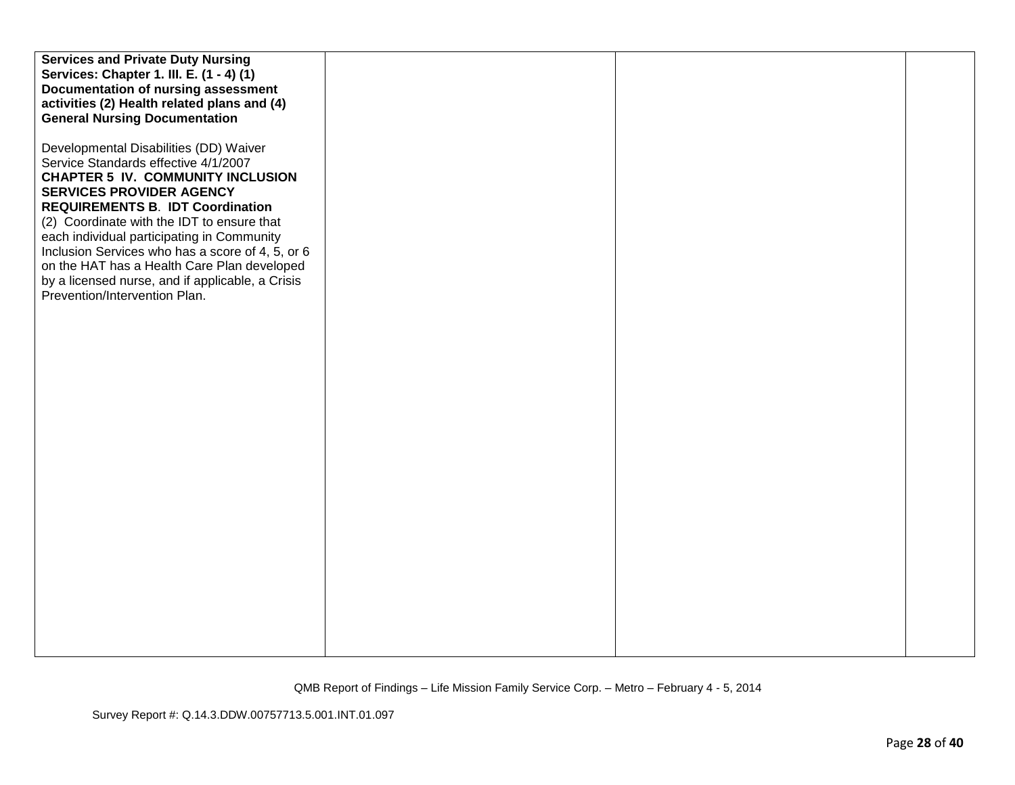| <b>Services and Private Duty Nursing</b>         |  |  |
|--------------------------------------------------|--|--|
| Services: Chapter 1. III. E. (1 - 4) (1)         |  |  |
| Documentation of nursing assessment              |  |  |
| activities (2) Health related plans and (4)      |  |  |
|                                                  |  |  |
| <b>General Nursing Documentation</b>             |  |  |
|                                                  |  |  |
| Developmental Disabilities (DD) Waiver           |  |  |
| Service Standards effective 4/1/2007             |  |  |
| <b>CHAPTER 5 IV. COMMUNITY INCLUSION</b>         |  |  |
| <b>SERVICES PROVIDER AGENCY</b>                  |  |  |
| <b>REQUIREMENTS B. IDT Coordination</b>          |  |  |
| (2) Coordinate with the IDT to ensure that       |  |  |
| each individual participating in Community       |  |  |
| Inclusion Services who has a score of 4, 5, or 6 |  |  |
| on the HAT has a Health Care Plan developed      |  |  |
| by a licensed nurse, and if applicable, a Crisis |  |  |
| Prevention/Intervention Plan.                    |  |  |
|                                                  |  |  |
|                                                  |  |  |
|                                                  |  |  |
|                                                  |  |  |
|                                                  |  |  |
|                                                  |  |  |
|                                                  |  |  |
|                                                  |  |  |
|                                                  |  |  |
|                                                  |  |  |
|                                                  |  |  |
|                                                  |  |  |
|                                                  |  |  |
|                                                  |  |  |
|                                                  |  |  |
|                                                  |  |  |
|                                                  |  |  |
|                                                  |  |  |
|                                                  |  |  |
|                                                  |  |  |
|                                                  |  |  |
|                                                  |  |  |
|                                                  |  |  |
|                                                  |  |  |
|                                                  |  |  |
|                                                  |  |  |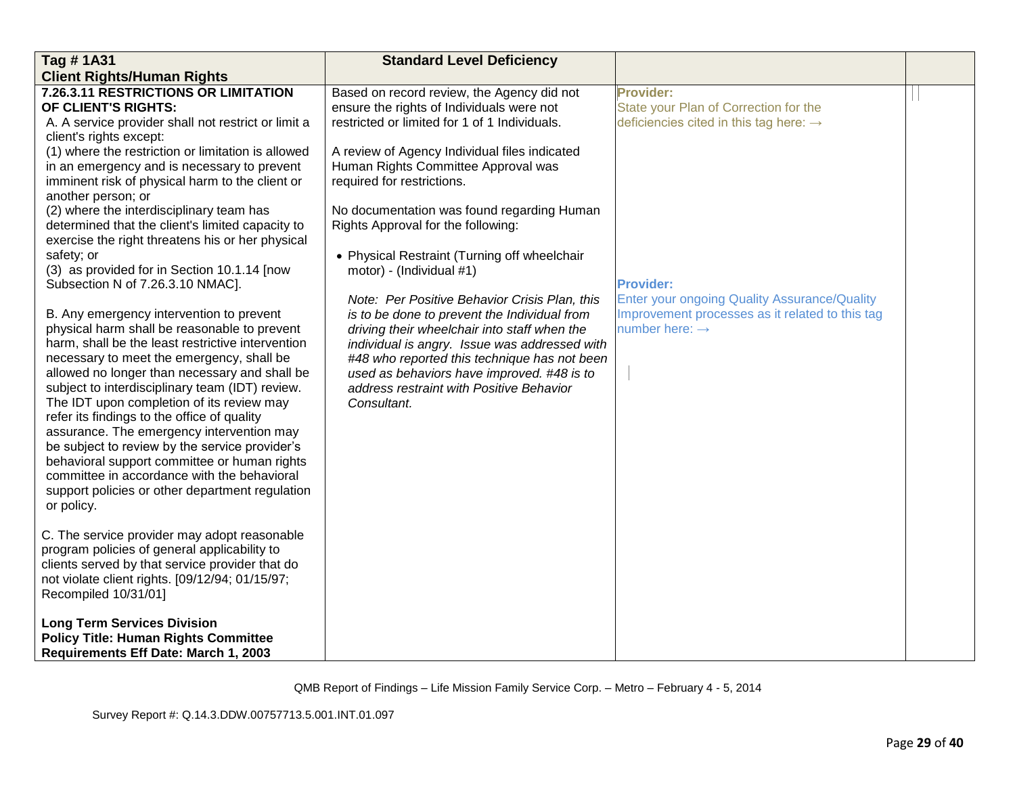| Tag #1A31                                           | <b>Standard Level Deficiency</b>              |                                                    |  |
|-----------------------------------------------------|-----------------------------------------------|----------------------------------------------------|--|
| <b>Client Rights/Human Rights</b>                   |                                               |                                                    |  |
| 7.26.3.11 RESTRICTIONS OR LIMITATION                | Based on record review, the Agency did not    | <b>Provider:</b>                                   |  |
| OF CLIENT'S RIGHTS:                                 | ensure the rights of Individuals were not     | State your Plan of Correction for the              |  |
| A. A service provider shall not restrict or limit a | restricted or limited for 1 of 1 Individuals. | deficiencies cited in this tag here: $\rightarrow$ |  |
| client's rights except:                             |                                               |                                                    |  |
| (1) where the restriction or limitation is allowed  | A review of Agency Individual files indicated |                                                    |  |
| in an emergency and is necessary to prevent         | Human Rights Committee Approval was           |                                                    |  |
| imminent risk of physical harm to the client or     | required for restrictions.                    |                                                    |  |
| another person; or                                  |                                               |                                                    |  |
| (2) where the interdisciplinary team has            | No documentation was found regarding Human    |                                                    |  |
| determined that the client's limited capacity to    | Rights Approval for the following:            |                                                    |  |
| exercise the right threatens his or her physical    |                                               |                                                    |  |
| safety; or                                          | • Physical Restraint (Turning off wheelchair  |                                                    |  |
| (3) as provided for in Section 10.1.14 [now         | motor) - (Individual #1)                      |                                                    |  |
| Subsection N of 7.26.3.10 NMAC].                    |                                               | <b>Provider:</b>                                   |  |
|                                                     | Note: Per Positive Behavior Crisis Plan, this | Enter your ongoing Quality Assurance/Quality       |  |
| B. Any emergency intervention to prevent            | is to be done to prevent the Individual from  | Improvement processes as it related to this tag    |  |
| physical harm shall be reasonable to prevent        | driving their wheelchair into staff when the  | number here: $\rightarrow$                         |  |
| harm, shall be the least restrictive intervention   | individual is angry. Issue was addressed with |                                                    |  |
| necessary to meet the emergency, shall be           | #48 who reported this technique has not been  |                                                    |  |
| allowed no longer than necessary and shall be       | used as behaviors have improved. #48 is to    |                                                    |  |
| subject to interdisciplinary team (IDT) review.     | address restraint with Positive Behavior      |                                                    |  |
| The IDT upon completion of its review may           | Consultant.                                   |                                                    |  |
| refer its findings to the office of quality         |                                               |                                                    |  |
| assurance. The emergency intervention may           |                                               |                                                    |  |
| be subject to review by the service provider's      |                                               |                                                    |  |
| behavioral support committee or human rights        |                                               |                                                    |  |
| committee in accordance with the behavioral         |                                               |                                                    |  |
| support policies or other department regulation     |                                               |                                                    |  |
| or policy.                                          |                                               |                                                    |  |
| C. The service provider may adopt reasonable        |                                               |                                                    |  |
| program policies of general applicability to        |                                               |                                                    |  |
| clients served by that service provider that do     |                                               |                                                    |  |
| not violate client rights. [09/12/94; 01/15/97;     |                                               |                                                    |  |
| Recompiled 10/31/01]                                |                                               |                                                    |  |
|                                                     |                                               |                                                    |  |
| <b>Long Term Services Division</b>                  |                                               |                                                    |  |
| <b>Policy Title: Human Rights Committee</b>         |                                               |                                                    |  |
| Requirements Eff Date: March 1, 2003                |                                               |                                                    |  |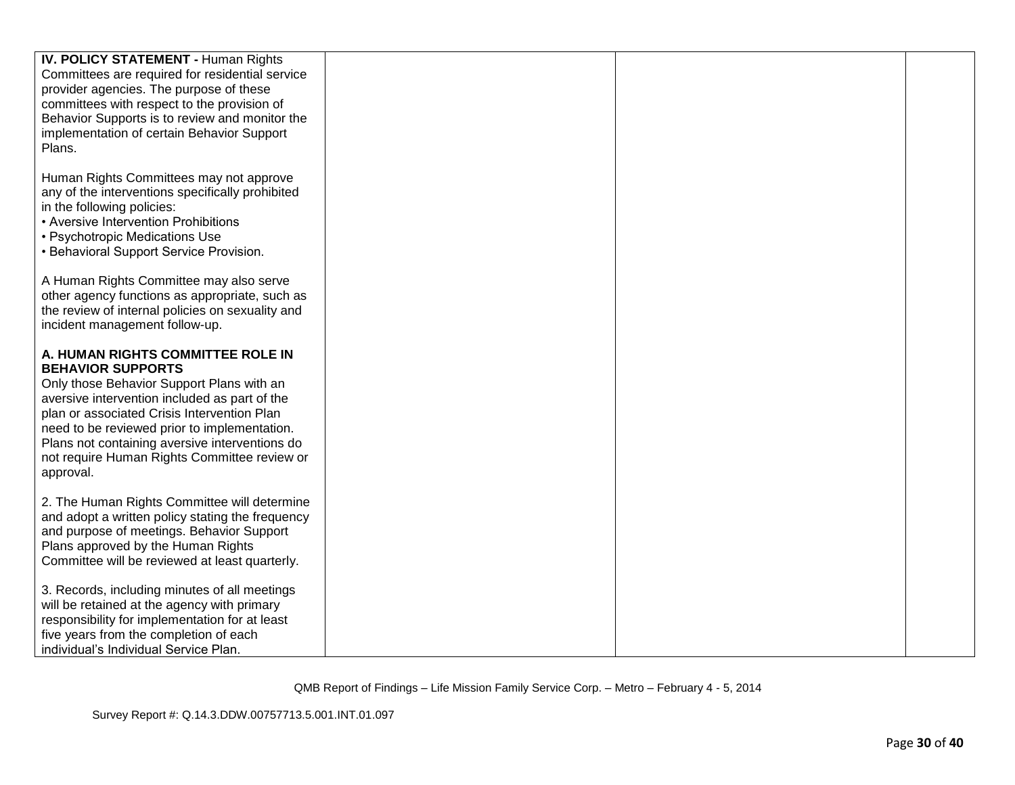| IV. POLICY STATEMENT - Human Rights                                                                                                                                                                                                                                                                                                                                                                                                                                                     |  |  |
|-----------------------------------------------------------------------------------------------------------------------------------------------------------------------------------------------------------------------------------------------------------------------------------------------------------------------------------------------------------------------------------------------------------------------------------------------------------------------------------------|--|--|
| Committees are required for residential service                                                                                                                                                                                                                                                                                                                                                                                                                                         |  |  |
| provider agencies. The purpose of these                                                                                                                                                                                                                                                                                                                                                                                                                                                 |  |  |
| committees with respect to the provision of                                                                                                                                                                                                                                                                                                                                                                                                                                             |  |  |
| Behavior Supports is to review and monitor the                                                                                                                                                                                                                                                                                                                                                                                                                                          |  |  |
| implementation of certain Behavior Support                                                                                                                                                                                                                                                                                                                                                                                                                                              |  |  |
| Plans.                                                                                                                                                                                                                                                                                                                                                                                                                                                                                  |  |  |
|                                                                                                                                                                                                                                                                                                                                                                                                                                                                                         |  |  |
| Human Rights Committees may not approve                                                                                                                                                                                                                                                                                                                                                                                                                                                 |  |  |
| any of the interventions specifically prohibited                                                                                                                                                                                                                                                                                                                                                                                                                                        |  |  |
| in the following policies:                                                                                                                                                                                                                                                                                                                                                                                                                                                              |  |  |
| • Aversive Intervention Prohibitions                                                                                                                                                                                                                                                                                                                                                                                                                                                    |  |  |
| • Psychotropic Medications Use                                                                                                                                                                                                                                                                                                                                                                                                                                                          |  |  |
| • Behavioral Support Service Provision.                                                                                                                                                                                                                                                                                                                                                                                                                                                 |  |  |
|                                                                                                                                                                                                                                                                                                                                                                                                                                                                                         |  |  |
| A Human Rights Committee may also serve                                                                                                                                                                                                                                                                                                                                                                                                                                                 |  |  |
| other agency functions as appropriate, such as                                                                                                                                                                                                                                                                                                                                                                                                                                          |  |  |
| the review of internal policies on sexuality and                                                                                                                                                                                                                                                                                                                                                                                                                                        |  |  |
| incident management follow-up.                                                                                                                                                                                                                                                                                                                                                                                                                                                          |  |  |
|                                                                                                                                                                                                                                                                                                                                                                                                                                                                                         |  |  |
| A. HUMAN RIGHTS COMMITTEE ROLE IN                                                                                                                                                                                                                                                                                                                                                                                                                                                       |  |  |
| <b>BEHAVIOR SUPPORTS</b>                                                                                                                                                                                                                                                                                                                                                                                                                                                                |  |  |
| Only those Behavior Support Plans with an                                                                                                                                                                                                                                                                                                                                                                                                                                               |  |  |
| aversive intervention included as part of the                                                                                                                                                                                                                                                                                                                                                                                                                                           |  |  |
| plan or associated Crisis Intervention Plan                                                                                                                                                                                                                                                                                                                                                                                                                                             |  |  |
| need to be reviewed prior to implementation.                                                                                                                                                                                                                                                                                                                                                                                                                                            |  |  |
| Plans not containing aversive interventions do                                                                                                                                                                                                                                                                                                                                                                                                                                          |  |  |
| not require Human Rights Committee review or                                                                                                                                                                                                                                                                                                                                                                                                                                            |  |  |
|                                                                                                                                                                                                                                                                                                                                                                                                                                                                                         |  |  |
|                                                                                                                                                                                                                                                                                                                                                                                                                                                                                         |  |  |
|                                                                                                                                                                                                                                                                                                                                                                                                                                                                                         |  |  |
|                                                                                                                                                                                                                                                                                                                                                                                                                                                                                         |  |  |
|                                                                                                                                                                                                                                                                                                                                                                                                                                                                                         |  |  |
|                                                                                                                                                                                                                                                                                                                                                                                                                                                                                         |  |  |
|                                                                                                                                                                                                                                                                                                                                                                                                                                                                                         |  |  |
|                                                                                                                                                                                                                                                                                                                                                                                                                                                                                         |  |  |
|                                                                                                                                                                                                                                                                                                                                                                                                                                                                                         |  |  |
|                                                                                                                                                                                                                                                                                                                                                                                                                                                                                         |  |  |
|                                                                                                                                                                                                                                                                                                                                                                                                                                                                                         |  |  |
|                                                                                                                                                                                                                                                                                                                                                                                                                                                                                         |  |  |
| approval.<br>2. The Human Rights Committee will determine<br>and adopt a written policy stating the frequency<br>and purpose of meetings. Behavior Support<br>Plans approved by the Human Rights<br>Committee will be reviewed at least quarterly.<br>3. Records, including minutes of all meetings<br>will be retained at the agency with primary<br>responsibility for implementation for at least<br>five years from the completion of each<br>individual's Individual Service Plan. |  |  |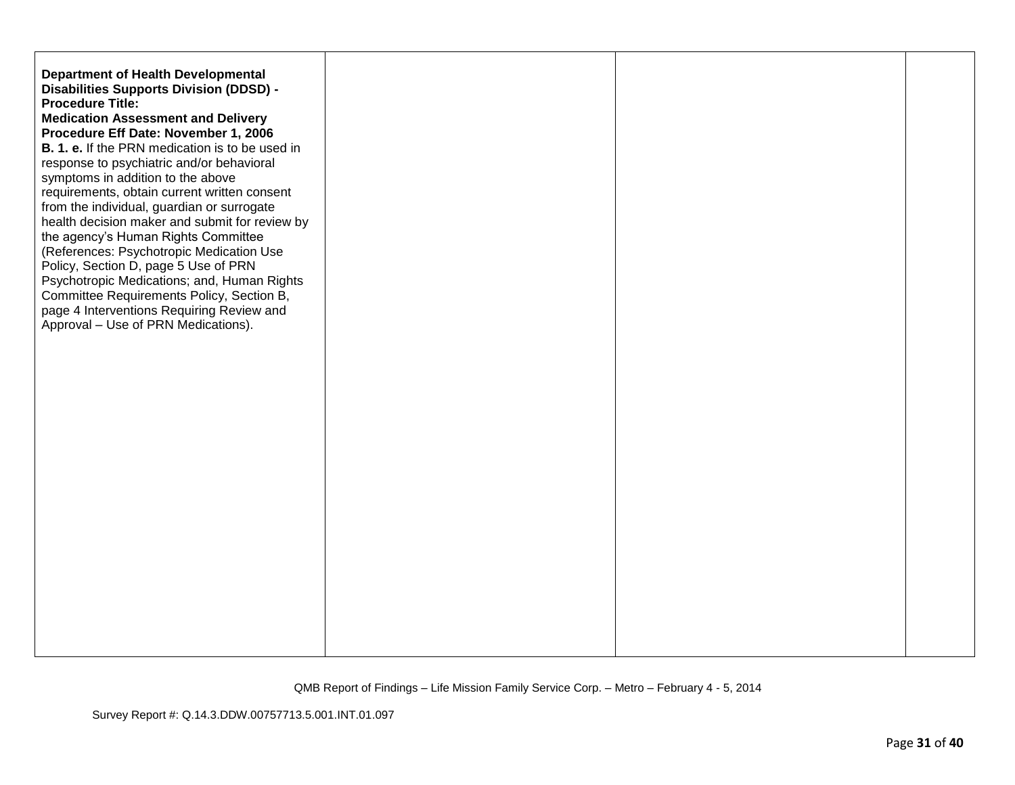| <b>Department of Health Developmental</b><br>Disabilities Supports Division (DDSD) -<br><b>Procedure Title:</b><br><b>Medication Assessment and Delivery</b><br>Procedure Eff Date: November 1, 2006<br><b>B. 1. e.</b> If the PRN medication is to be used in<br>response to psychiatric and/or behavioral<br>symptoms in addition to the above<br>requirements, obtain current written consent<br>from the individual, guardian or surrogate<br>health decision maker and submit for review by<br>the agency's Human Rights Committee<br>(References: Psychotropic Medication Use<br>Policy, Section D, page 5 Use of PRN<br>Psychotropic Medications; and, Human Rights<br>Committee Requirements Policy, Section B,<br>page 4 Interventions Requiring Review and<br>Approval - Use of PRN Medications). |  |  |
|-------------------------------------------------------------------------------------------------------------------------------------------------------------------------------------------------------------------------------------------------------------------------------------------------------------------------------------------------------------------------------------------------------------------------------------------------------------------------------------------------------------------------------------------------------------------------------------------------------------------------------------------------------------------------------------------------------------------------------------------------------------------------------------------------------------|--|--|
|                                                                                                                                                                                                                                                                                                                                                                                                                                                                                                                                                                                                                                                                                                                                                                                                             |  |  |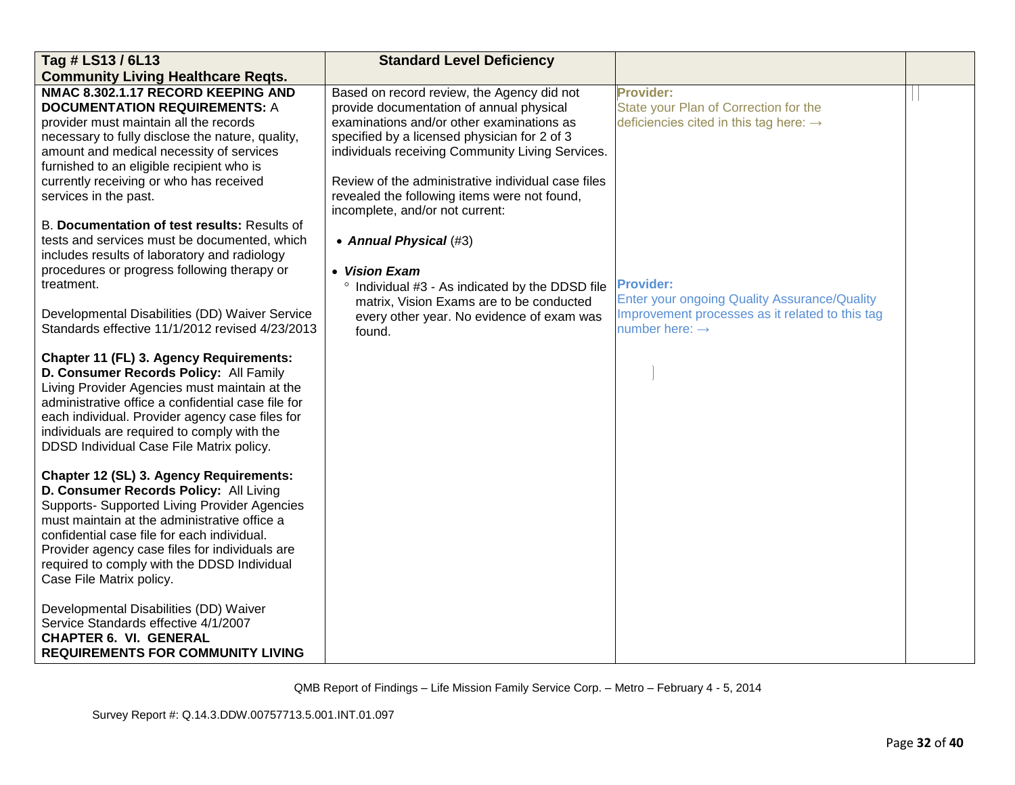| Tag # LS13 / 6L13                                                                                                                                                                                                                                                                                                                                             | <b>Standard Level Deficiency</b>                   |                                                     |  |
|---------------------------------------------------------------------------------------------------------------------------------------------------------------------------------------------------------------------------------------------------------------------------------------------------------------------------------------------------------------|----------------------------------------------------|-----------------------------------------------------|--|
| <b>Community Living Healthcare Reqts.</b>                                                                                                                                                                                                                                                                                                                     |                                                    |                                                     |  |
| NMAC 8.302.1.17 RECORD KEEPING AND                                                                                                                                                                                                                                                                                                                            | Based on record review, the Agency did not         | Provider:                                           |  |
| <b>DOCUMENTATION REQUIREMENTS: A</b>                                                                                                                                                                                                                                                                                                                          | provide documentation of annual physical           | State your Plan of Correction for the               |  |
| provider must maintain all the records                                                                                                                                                                                                                                                                                                                        | examinations and/or other examinations as          | deficiencies cited in this tag here: $\rightarrow$  |  |
| necessary to fully disclose the nature, quality,                                                                                                                                                                                                                                                                                                              | specified by a licensed physician for 2 of 3       |                                                     |  |
| amount and medical necessity of services                                                                                                                                                                                                                                                                                                                      | individuals receiving Community Living Services.   |                                                     |  |
| furnished to an eligible recipient who is                                                                                                                                                                                                                                                                                                                     |                                                    |                                                     |  |
| currently receiving or who has received                                                                                                                                                                                                                                                                                                                       | Review of the administrative individual case files |                                                     |  |
| services in the past.                                                                                                                                                                                                                                                                                                                                         | revealed the following items were not found,       |                                                     |  |
|                                                                                                                                                                                                                                                                                                                                                               | incomplete, and/or not current:                    |                                                     |  |
| B. Documentation of test results: Results of                                                                                                                                                                                                                                                                                                                  |                                                    |                                                     |  |
| tests and services must be documented, which                                                                                                                                                                                                                                                                                                                  | • Annual Physical (#3)                             |                                                     |  |
| includes results of laboratory and radiology                                                                                                                                                                                                                                                                                                                  |                                                    |                                                     |  |
| procedures or progress following therapy or                                                                                                                                                                                                                                                                                                                   | • Vision Exam                                      |                                                     |  |
| treatment.                                                                                                                                                                                                                                                                                                                                                    | ° Individual #3 - As indicated by the DDSD file    | <b>Provider:</b>                                    |  |
|                                                                                                                                                                                                                                                                                                                                                               | matrix, Vision Exams are to be conducted           | <b>Enter your ongoing Quality Assurance/Quality</b> |  |
| Developmental Disabilities (DD) Waiver Service<br>Standards effective 11/1/2012 revised 4/23/2013                                                                                                                                                                                                                                                             | every other year. No evidence of exam was          | Improvement processes as it related to this tag     |  |
|                                                                                                                                                                                                                                                                                                                                                               | found.                                             | number here: $\rightarrow$                          |  |
| Chapter 11 (FL) 3. Agency Requirements:<br>D. Consumer Records Policy: All Family<br>Living Provider Agencies must maintain at the<br>administrative office a confidential case file for<br>each individual. Provider agency case files for<br>individuals are required to comply with the<br>DDSD Individual Case File Matrix policy.                        |                                                    |                                                     |  |
| Chapter 12 (SL) 3. Agency Requirements:<br>D. Consumer Records Policy: All Living<br>Supports- Supported Living Provider Agencies<br>must maintain at the administrative office a<br>confidential case file for each individual.<br>Provider agency case files for individuals are<br>required to comply with the DDSD Individual<br>Case File Matrix policy. |                                                    |                                                     |  |
| Developmental Disabilities (DD) Waiver<br>Service Standards effective 4/1/2007<br><b>CHAPTER 6. VI. GENERAL</b><br><b>REQUIREMENTS FOR COMMUNITY LIVING</b>                                                                                                                                                                                                   |                                                    |                                                     |  |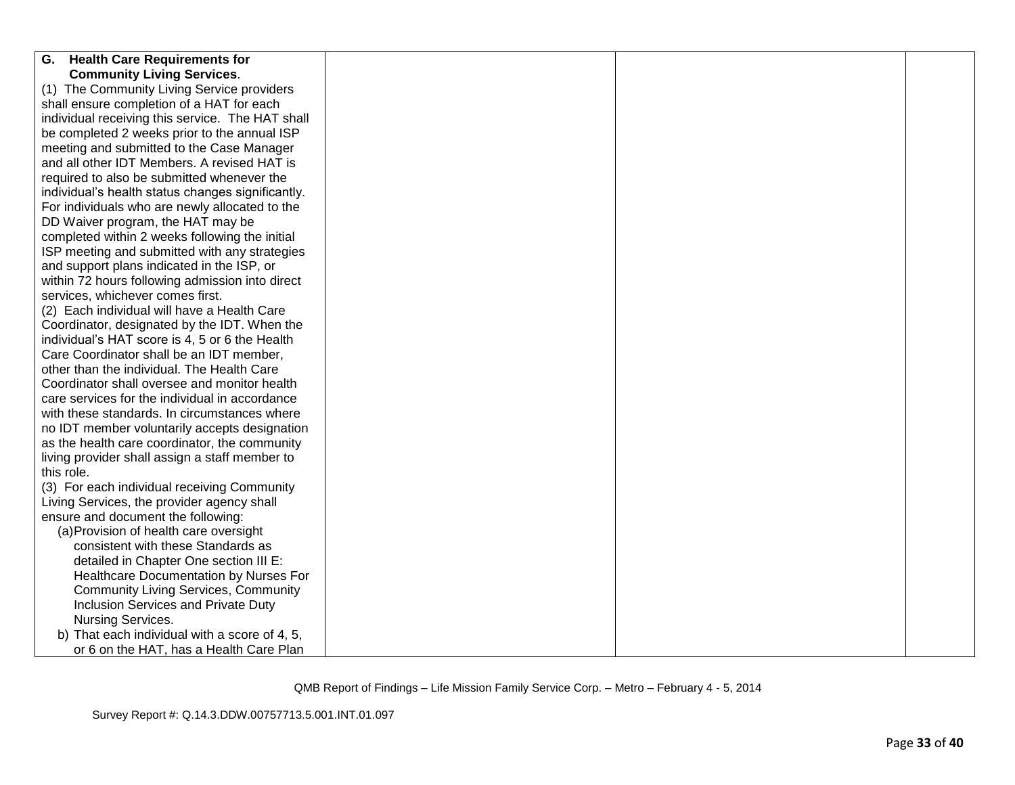| <b>Health Care Requirements for</b><br>G.         |  |  |  |  |  |
|---------------------------------------------------|--|--|--|--|--|
| <b>Community Living Services.</b>                 |  |  |  |  |  |
| (1) The Community Living Service providers        |  |  |  |  |  |
| shall ensure completion of a HAT for each         |  |  |  |  |  |
| individual receiving this service. The HAT shall  |  |  |  |  |  |
| be completed 2 weeks prior to the annual ISP      |  |  |  |  |  |
| meeting and submitted to the Case Manager         |  |  |  |  |  |
| and all other IDT Members. A revised HAT is       |  |  |  |  |  |
| required to also be submitted whenever the        |  |  |  |  |  |
| individual's health status changes significantly. |  |  |  |  |  |
| For individuals who are newly allocated to the    |  |  |  |  |  |
| DD Waiver program, the HAT may be                 |  |  |  |  |  |
| completed within 2 weeks following the initial    |  |  |  |  |  |
| ISP meeting and submitted with any strategies     |  |  |  |  |  |
| and support plans indicated in the ISP, or        |  |  |  |  |  |
| within 72 hours following admission into direct   |  |  |  |  |  |
| services, whichever comes first.                  |  |  |  |  |  |
| (2) Each individual will have a Health Care       |  |  |  |  |  |
| Coordinator, designated by the IDT. When the      |  |  |  |  |  |
| individual's HAT score is 4, 5 or 6 the Health    |  |  |  |  |  |
| Care Coordinator shall be an IDT member,          |  |  |  |  |  |
| other than the individual. The Health Care        |  |  |  |  |  |
| Coordinator shall oversee and monitor health      |  |  |  |  |  |
| care services for the individual in accordance    |  |  |  |  |  |
| with these standards. In circumstances where      |  |  |  |  |  |
| no IDT member voluntarily accepts designation     |  |  |  |  |  |
| as the health care coordinator, the community     |  |  |  |  |  |
| living provider shall assign a staff member to    |  |  |  |  |  |
| this role.                                        |  |  |  |  |  |
| (3) For each individual receiving Community       |  |  |  |  |  |
| Living Services, the provider agency shall        |  |  |  |  |  |
| ensure and document the following:                |  |  |  |  |  |
| (a) Provision of health care oversight            |  |  |  |  |  |
| consistent with these Standards as                |  |  |  |  |  |
| detailed in Chapter One section III E:            |  |  |  |  |  |
| Healthcare Documentation by Nurses For            |  |  |  |  |  |
| <b>Community Living Services, Community</b>       |  |  |  |  |  |
| Inclusion Services and Private Duty               |  |  |  |  |  |
| Nursing Services.                                 |  |  |  |  |  |
| b) That each individual with a score of 4, 5,     |  |  |  |  |  |
| or 6 on the HAT, has a Health Care Plan           |  |  |  |  |  |
|                                                   |  |  |  |  |  |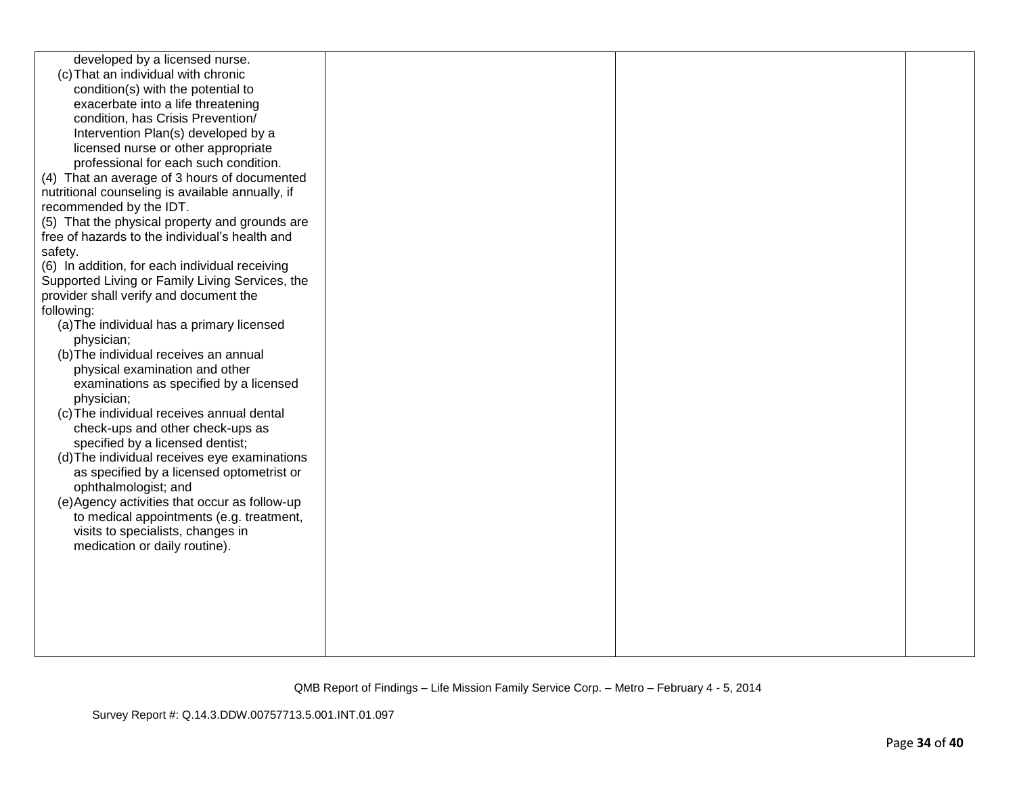| developed by a licensed nurse.                   |  |  |
|--------------------------------------------------|--|--|
| (c) That an individual with chronic              |  |  |
| condition(s) with the potential to               |  |  |
| exacerbate into a life threatening               |  |  |
| condition, has Crisis Prevention/                |  |  |
| Intervention Plan(s) developed by a              |  |  |
| licensed nurse or other appropriate              |  |  |
| professional for each such condition.            |  |  |
| (4) That an average of 3 hours of documented     |  |  |
| nutritional counseling is available annually, if |  |  |
| recommended by the IDT.                          |  |  |
| (5) That the physical property and grounds are   |  |  |
| free of hazards to the individual's health and   |  |  |
| safety.                                          |  |  |
| (6) In addition, for each individual receiving   |  |  |
| Supported Living or Family Living Services, the  |  |  |
| provider shall verify and document the           |  |  |
| following:                                       |  |  |
| (a) The individual has a primary licensed        |  |  |
| physician;                                       |  |  |
| (b) The individual receives an annual            |  |  |
| physical examination and other                   |  |  |
| examinations as specified by a licensed          |  |  |
| physician;                                       |  |  |
| (c) The individual receives annual dental        |  |  |
| check-ups and other check-ups as                 |  |  |
| specified by a licensed dentist;                 |  |  |
| (d) The individual receives eye examinations     |  |  |
| as specified by a licensed optometrist or        |  |  |
| ophthalmologist; and                             |  |  |
| (e)Agency activities that occur as follow-up     |  |  |
| to medical appointments (e.g. treatment,         |  |  |
| visits to specialists, changes in                |  |  |
| medication or daily routine).                    |  |  |
|                                                  |  |  |
|                                                  |  |  |
|                                                  |  |  |
|                                                  |  |  |
|                                                  |  |  |
|                                                  |  |  |
|                                                  |  |  |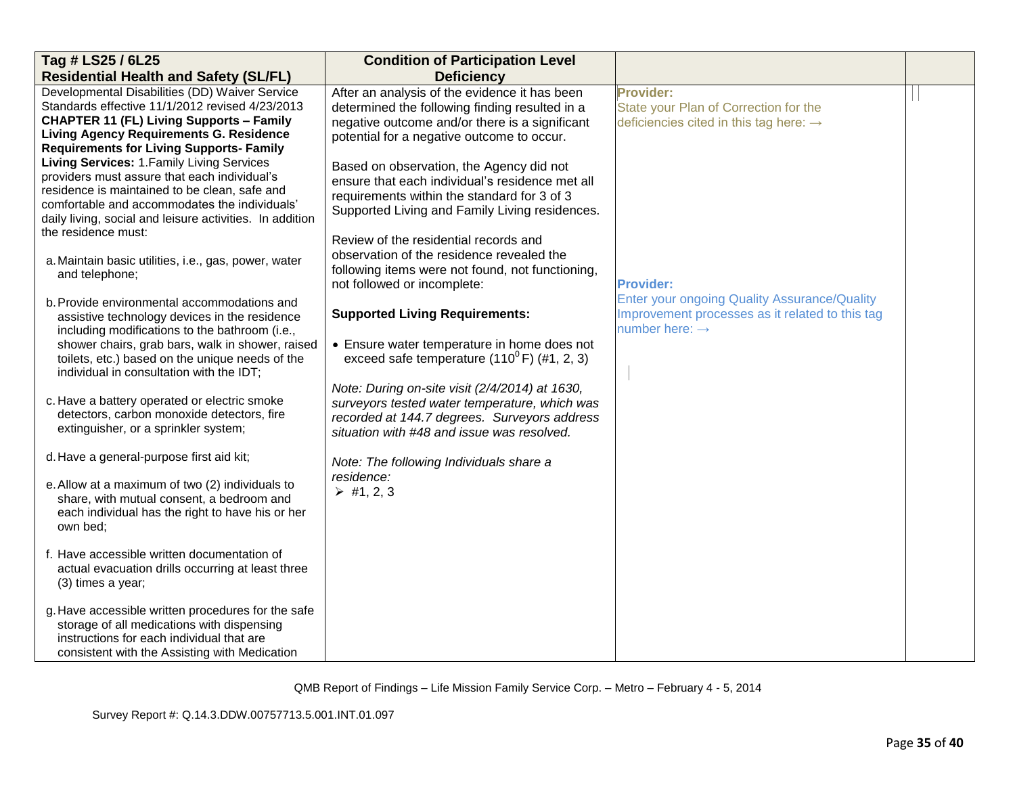| Tag # LS25 / 6L25                                                                               | <b>Condition of Participation Level</b>                                            |                                                     |  |
|-------------------------------------------------------------------------------------------------|------------------------------------------------------------------------------------|-----------------------------------------------------|--|
| <b>Residential Health and Safety (SL/FL)</b>                                                    | <b>Deficiency</b>                                                                  |                                                     |  |
| Developmental Disabilities (DD) Waiver Service                                                  | After an analysis of the evidence it has been                                      | Provider:                                           |  |
| Standards effective 11/1/2012 revised 4/23/2013                                                 | determined the following finding resulted in a                                     | State your Plan of Correction for the               |  |
| <b>CHAPTER 11 (FL) Living Supports - Family</b>                                                 | negative outcome and/or there is a significant                                     | deficiencies cited in this tag here: $\rightarrow$  |  |
| <b>Living Agency Requirements G. Residence</b>                                                  | potential for a negative outcome to occur.                                         |                                                     |  |
| <b>Requirements for Living Supports- Family</b><br>Living Services: 1. Family Living Services   |                                                                                    |                                                     |  |
| providers must assure that each individual's                                                    | Based on observation, the Agency did not                                           |                                                     |  |
| residence is maintained to be clean, safe and                                                   | ensure that each individual's residence met all                                    |                                                     |  |
| comfortable and accommodates the individuals'                                                   | requirements within the standard for 3 of 3                                        |                                                     |  |
| daily living, social and leisure activities. In addition                                        | Supported Living and Family Living residences.                                     |                                                     |  |
| the residence must:                                                                             |                                                                                    |                                                     |  |
|                                                                                                 | Review of the residential records and<br>observation of the residence revealed the |                                                     |  |
| a. Maintain basic utilities, i.e., gas, power, water                                            | following items were not found, not functioning,                                   |                                                     |  |
| and telephone;                                                                                  | not followed or incomplete:                                                        | <b>Provider:</b>                                    |  |
|                                                                                                 |                                                                                    | <b>Enter your ongoing Quality Assurance/Quality</b> |  |
| b. Provide environmental accommodations and                                                     | <b>Supported Living Requirements:</b>                                              | Improvement processes as it related to this tag     |  |
| assistive technology devices in the residence<br>including modifications to the bathroom (i.e., |                                                                                    | number here: $\rightarrow$                          |  |
| shower chairs, grab bars, walk in shower, raised                                                | • Ensure water temperature in home does not                                        |                                                     |  |
| toilets, etc.) based on the unique needs of the                                                 | exceed safe temperature $(110^{\circ}$ F) $(\#1, 2, 3)$                            |                                                     |  |
| individual in consultation with the IDT;                                                        |                                                                                    |                                                     |  |
|                                                                                                 | Note: During on-site visit (2/4/2014) at 1630,                                     |                                                     |  |
| c. Have a battery operated or electric smoke                                                    | surveyors tested water temperature, which was                                      |                                                     |  |
| detectors, carbon monoxide detectors, fire                                                      | recorded at 144.7 degrees. Surveyors address                                       |                                                     |  |
| extinguisher, or a sprinkler system;                                                            | situation with #48 and issue was resolved.                                         |                                                     |  |
| d. Have a general-purpose first aid kit;                                                        |                                                                                    |                                                     |  |
|                                                                                                 | Note: The following Individuals share a                                            |                                                     |  |
| e. Allow at a maximum of two (2) individuals to                                                 | residence:                                                                         |                                                     |  |
| share, with mutual consent, a bedroom and                                                       | $\triangleright$ #1, 2, 3                                                          |                                                     |  |
| each individual has the right to have his or her                                                |                                                                                    |                                                     |  |
| own bed;                                                                                        |                                                                                    |                                                     |  |
|                                                                                                 |                                                                                    |                                                     |  |
| f. Have accessible written documentation of                                                     |                                                                                    |                                                     |  |
| actual evacuation drills occurring at least three                                               |                                                                                    |                                                     |  |
| (3) times a year;                                                                               |                                                                                    |                                                     |  |
| g. Have accessible written procedures for the safe                                              |                                                                                    |                                                     |  |
| storage of all medications with dispensing                                                      |                                                                                    |                                                     |  |
| instructions for each individual that are                                                       |                                                                                    |                                                     |  |
| consistent with the Assisting with Medication                                                   |                                                                                    |                                                     |  |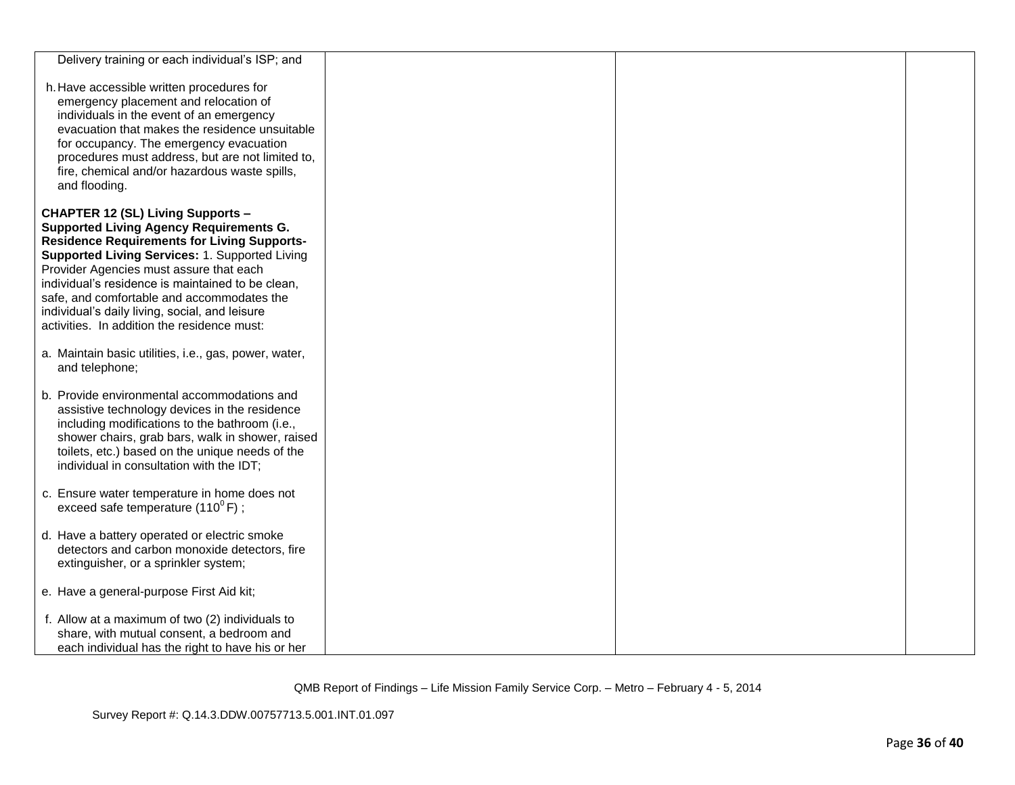| Delivery training or each individual's ISP; and                                                                                                                                                                                                                                                                                                                                                                                                   |  |  |
|---------------------------------------------------------------------------------------------------------------------------------------------------------------------------------------------------------------------------------------------------------------------------------------------------------------------------------------------------------------------------------------------------------------------------------------------------|--|--|
| h. Have accessible written procedures for<br>emergency placement and relocation of<br>individuals in the event of an emergency<br>evacuation that makes the residence unsuitable<br>for occupancy. The emergency evacuation<br>procedures must address, but are not limited to,<br>fire, chemical and/or hazardous waste spills,<br>and flooding.                                                                                                 |  |  |
| <b>CHAPTER 12 (SL) Living Supports -</b><br><b>Supported Living Agency Requirements G.</b><br><b>Residence Requirements for Living Supports-</b><br>Supported Living Services: 1. Supported Living<br>Provider Agencies must assure that each<br>individual's residence is maintained to be clean,<br>safe, and comfortable and accommodates the<br>individual's daily living, social, and leisure<br>activities. In addition the residence must: |  |  |
| a. Maintain basic utilities, i.e., gas, power, water,<br>and telephone;                                                                                                                                                                                                                                                                                                                                                                           |  |  |
| b. Provide environmental accommodations and<br>assistive technology devices in the residence<br>including modifications to the bathroom (i.e.,<br>shower chairs, grab bars, walk in shower, raised<br>toilets, etc.) based on the unique needs of the<br>individual in consultation with the IDT;                                                                                                                                                 |  |  |
| c. Ensure water temperature in home does not<br>exceed safe temperature $(110^{\circ} \text{F})$ ;                                                                                                                                                                                                                                                                                                                                                |  |  |
| d. Have a battery operated or electric smoke<br>detectors and carbon monoxide detectors, fire<br>extinguisher, or a sprinkler system;                                                                                                                                                                                                                                                                                                             |  |  |
| e. Have a general-purpose First Aid kit;                                                                                                                                                                                                                                                                                                                                                                                                          |  |  |
| f. Allow at a maximum of two (2) individuals to<br>share, with mutual consent, a bedroom and<br>each individual has the right to have his or her                                                                                                                                                                                                                                                                                                  |  |  |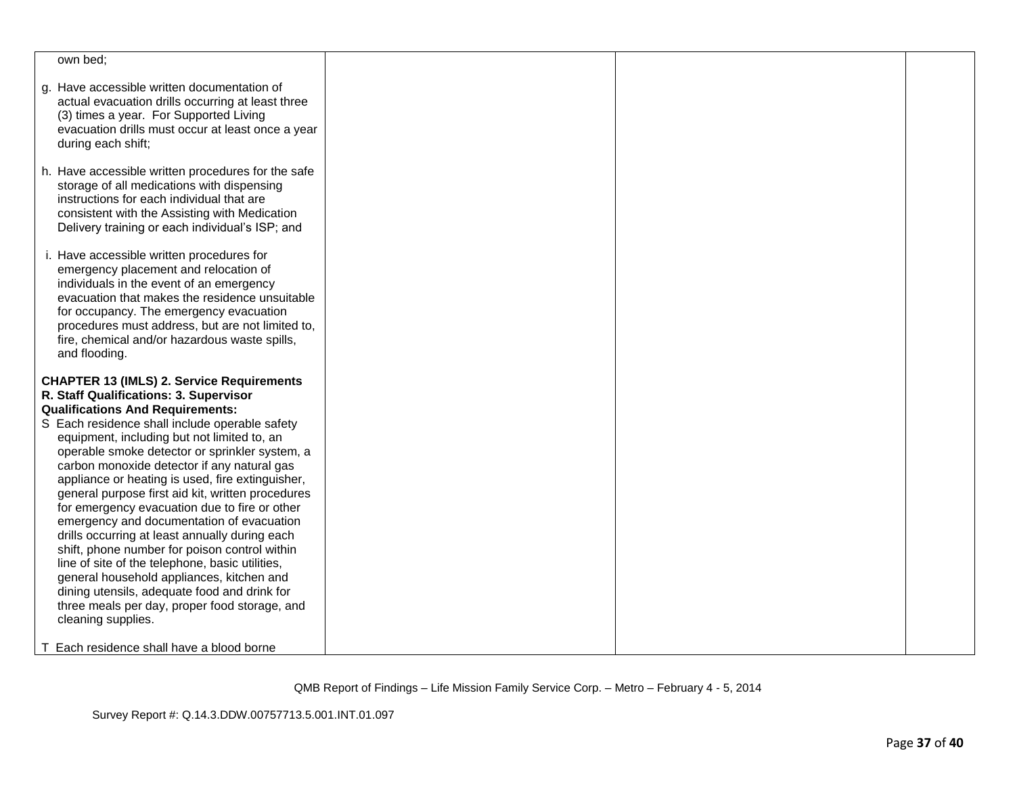| own bed;                                                                                                                                                                                                                                                                                                                                          |  |  |
|---------------------------------------------------------------------------------------------------------------------------------------------------------------------------------------------------------------------------------------------------------------------------------------------------------------------------------------------------|--|--|
| g. Have accessible written documentation of<br>actual evacuation drills occurring at least three<br>(3) times a year. For Supported Living<br>evacuation drills must occur at least once a year<br>during each shift;                                                                                                                             |  |  |
| h. Have accessible written procedures for the safe<br>storage of all medications with dispensing<br>instructions for each individual that are<br>consistent with the Assisting with Medication<br>Delivery training or each individual's ISP; and                                                                                                 |  |  |
| i. Have accessible written procedures for<br>emergency placement and relocation of<br>individuals in the event of an emergency<br>evacuation that makes the residence unsuitable<br>for occupancy. The emergency evacuation<br>procedures must address, but are not limited to,<br>fire, chemical and/or hazardous waste spills,<br>and flooding. |  |  |
| <b>CHAPTER 13 (IMLS) 2. Service Requirements</b>                                                                                                                                                                                                                                                                                                  |  |  |
| R. Staff Qualifications: 3. Supervisor                                                                                                                                                                                                                                                                                                            |  |  |
| <b>Qualifications And Requirements:</b>                                                                                                                                                                                                                                                                                                           |  |  |
| S Each residence shall include operable safety                                                                                                                                                                                                                                                                                                    |  |  |
| equipment, including but not limited to, an                                                                                                                                                                                                                                                                                                       |  |  |
| operable smoke detector or sprinkler system, a<br>carbon monoxide detector if any natural gas                                                                                                                                                                                                                                                     |  |  |
| appliance or heating is used, fire extinguisher,                                                                                                                                                                                                                                                                                                  |  |  |
| general purpose first aid kit, written procedures                                                                                                                                                                                                                                                                                                 |  |  |
| for emergency evacuation due to fire or other                                                                                                                                                                                                                                                                                                     |  |  |
| emergency and documentation of evacuation                                                                                                                                                                                                                                                                                                         |  |  |
| drills occurring at least annually during each                                                                                                                                                                                                                                                                                                    |  |  |
| shift, phone number for poison control within<br>line of site of the telephone, basic utilities,                                                                                                                                                                                                                                                  |  |  |
| general household appliances, kitchen and                                                                                                                                                                                                                                                                                                         |  |  |
| dining utensils, adequate food and drink for                                                                                                                                                                                                                                                                                                      |  |  |
| three meals per day, proper food storage, and                                                                                                                                                                                                                                                                                                     |  |  |
| cleaning supplies.                                                                                                                                                                                                                                                                                                                                |  |  |
| T Each residence shall have a blood borne                                                                                                                                                                                                                                                                                                         |  |  |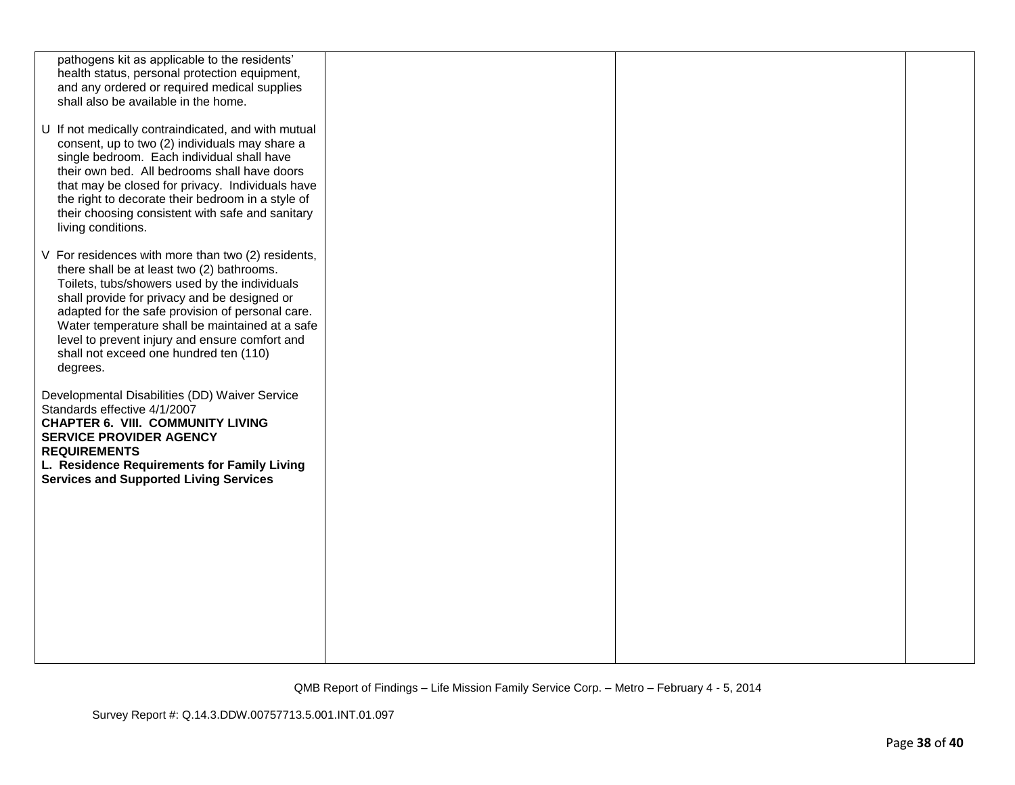| pathogens kit as applicable to the residents'       |  |  |
|-----------------------------------------------------|--|--|
| health status, personal protection equipment,       |  |  |
| and any ordered or required medical supplies        |  |  |
| shall also be available in the home.                |  |  |
|                                                     |  |  |
| U If not medically contraindicated, and with mutual |  |  |
| consent, up to two (2) individuals may share a      |  |  |
| single bedroom. Each individual shall have          |  |  |
| their own bed. All bedrooms shall have doors        |  |  |
|                                                     |  |  |
| that may be closed for privacy. Individuals have    |  |  |
| the right to decorate their bedroom in a style of   |  |  |
| their choosing consistent with safe and sanitary    |  |  |
| living conditions.                                  |  |  |
|                                                     |  |  |
| V For residences with more than two (2) residents,  |  |  |
| there shall be at least two (2) bathrooms.          |  |  |
| Toilets, tubs/showers used by the individuals       |  |  |
| shall provide for privacy and be designed or        |  |  |
| adapted for the safe provision of personal care.    |  |  |
| Water temperature shall be maintained at a safe     |  |  |
| level to prevent injury and ensure comfort and      |  |  |
| shall not exceed one hundred ten (110)              |  |  |
| degrees.                                            |  |  |
|                                                     |  |  |
| Developmental Disabilities (DD) Waiver Service      |  |  |
| Standards effective 4/1/2007                        |  |  |
| <b>CHAPTER 6. VIII. COMMUNITY LIVING</b>            |  |  |
| <b>SERVICE PROVIDER AGENCY</b>                      |  |  |
| <b>REQUIREMENTS</b>                                 |  |  |
| L. Residence Requirements for Family Living         |  |  |
| <b>Services and Supported Living Services</b>       |  |  |
|                                                     |  |  |
|                                                     |  |  |
|                                                     |  |  |
|                                                     |  |  |
|                                                     |  |  |
|                                                     |  |  |
|                                                     |  |  |
|                                                     |  |  |
|                                                     |  |  |
|                                                     |  |  |
|                                                     |  |  |
|                                                     |  |  |
|                                                     |  |  |
|                                                     |  |  |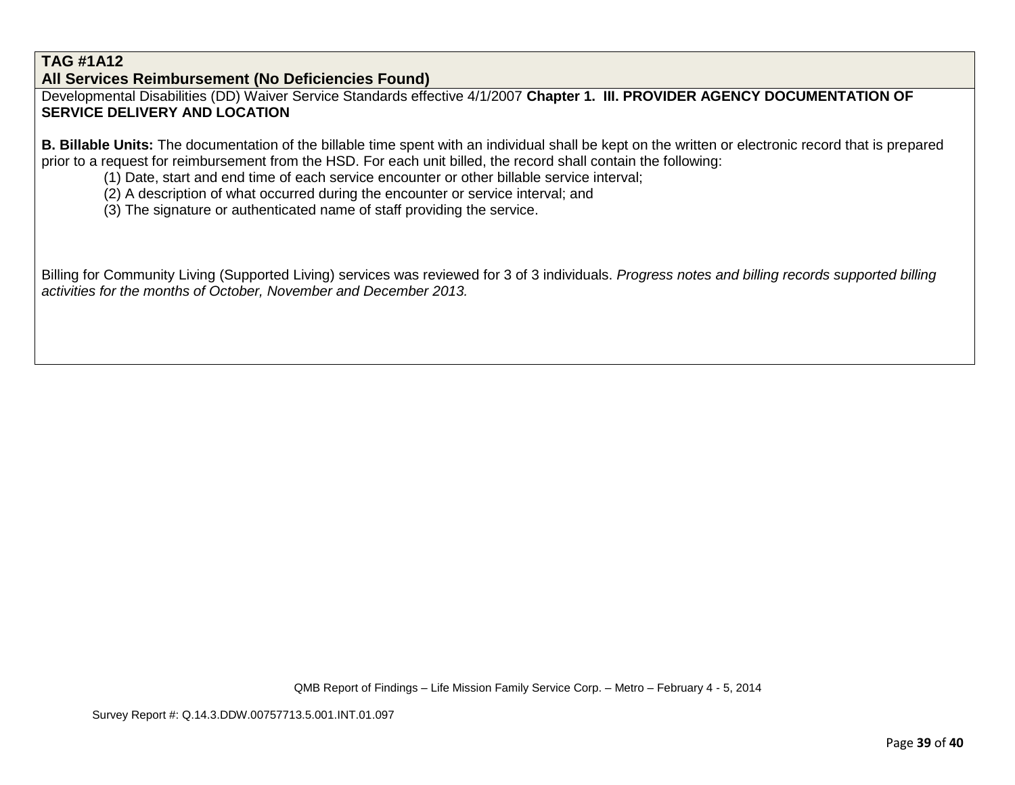# **TAG #1A12**

**All Services Reimbursement (No Deficiencies Found)**

Developmental Disabilities (DD) Waiver Service Standards effective 4/1/2007 **Chapter 1. III. PROVIDER AGENCY DOCUMENTATION OF SERVICE DELIVERY AND LOCATION**

**B. Billable Units:** The documentation of the billable time spent with an individual shall be kept on the written or electronic record that is prepared prior to a request for reimbursement from the HSD. For each unit billed, the record shall contain the following:

(1) Date, start and end time of each service encounter or other billable service interval;

(2) A description of what occurred during the encounter or service interval; and

(3) The signature or authenticated name of staff providing the service.

Billing for Community Living (Supported Living) services was reviewed for 3 of 3 individuals. *Progress notes and billing records supported billing activities for the months of October, November and December 2013.*